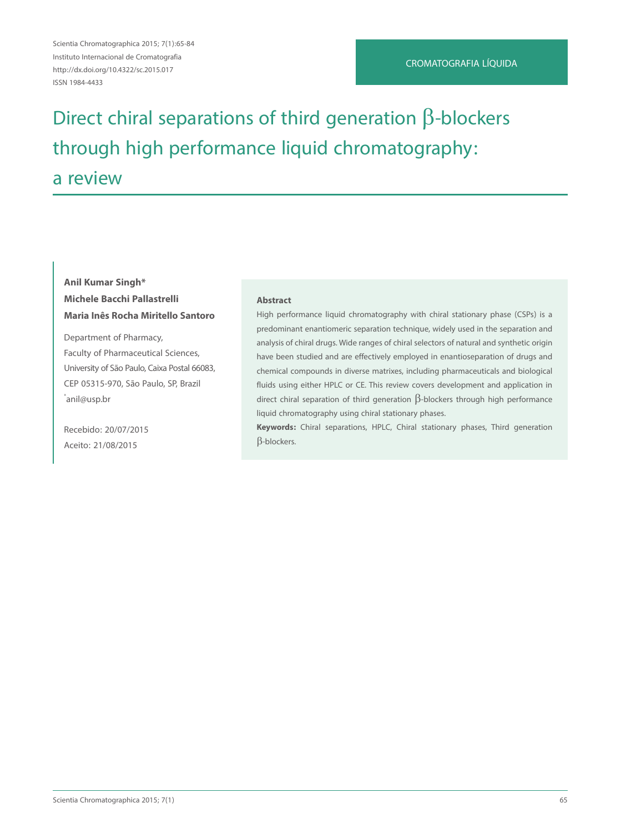Scientia Chromatographica 2015; 7(1):65-84 Instituto Internacional de Cromatografia http://dx.doi.org/10.4322/sc.2015.017 ISSN 1984-4433

# Direct chiral separations of third generation  $\beta$ -blockers through high performance liquid chromatography: a review

# **Anil Kumar Singh\* Michele Bacchi Pallastrelli Maria Inês Rocha Miritello Santoro**

Department of Pharmacy, Faculty of Pharmaceutical Sciences, University of São Paulo, Caixa Postal 66083, CEP 05315-970, São Paulo, SP, Brazil \* anil@usp.br

Recebido: 20/07/2015 Aceito: 21/08/2015

#### **Abstract**

High performance liquid chromatography with chiral stationary phase (CSPs) is a predominant enantiomeric separation technique, widely used in the separation and analysis of chiral drugs. Wide ranges of chiral selectors of natural and synthetic origin have been studied and are effectively employed in enantioseparation of drugs and chemical compounds in diverse matrixes, including pharmaceuticals and biological fluids using either HPLC or CE. This review covers development and application in direct chiral separation of third generation  $\beta$ -blockers through high performance liquid chromatography using chiral stationary phases.

**Keywords:** Chiral separations, HPLC, Chiral stationary phases, Third generation β-blockers.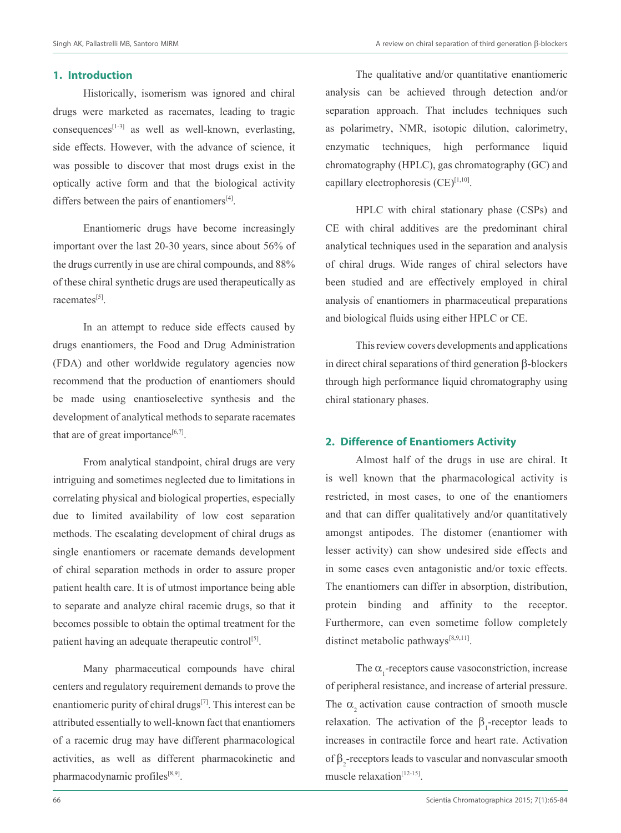#### **1. Introduction**

Historically, isomerism was ignored and chiral drugs were marketed as racemates, leading to tragic consequences<sup>[1-3]</sup> as well as well-known, everlasting, side effects. However, with the advance of science, it was possible to discover that most drugs exist in the optically active form and that the biological activity differs between the pairs of enantiomers $[4]$ .

Enantiomeric drugs have become increasingly important over the last 20-30 years, since about 56% of the drugs currently in use are chiral compounds, and 88% of these chiral synthetic drugs are used therapeutically as racemates<sup>[5]</sup>.

In an attempt to reduce side effects caused by drugs enantiomers, the Food and Drug Administration (FDA) and other worldwide regulatory agencies now recommend that the production of enantiomers should be made using enantioselective synthesis and the development of analytical methods to separate racemates that are of great importance $[6,7]$ .

From analytical standpoint, chiral drugs are very intriguing and sometimes neglected due to limitations in correlating physical and biological properties, especially due to limited availability of low cost separation methods. The escalating development of chiral drugs as single enantiomers or racemate demands development of chiral separation methods in order to assure proper patient health care. It is of utmost importance being able to separate and analyze chiral racemic drugs, so that it becomes possible to obtain the optimal treatment for the patient having an adequate therapeutic control<sup>[5]</sup>.

Many pharmaceutical compounds have chiral centers and regulatory requirement demands to prove the enantiomeric purity of chiral drugs $[7]$ . This interest can be attributed essentially to well-known fact that enantiomers of a racemic drug may have different pharmacological activities, as well as different pharmacokinetic and pharmacodynamic profiles<sup>[8,9]</sup>.

The qualitative and/or quantitative enantiomeric analysis can be achieved through detection and/or separation approach. That includes techniques such as polarimetry, NMR, isotopic dilution, calorimetry, enzymatic techniques, high performance liquid chromatography (HPLC), gas chromatography (GC) and capillary electrophoresis  $(CE)^{[1,10]}$ .

HPLC with chiral stationary phase (CSPs) and CE with chiral additives are the predominant chiral analytical techniques used in the separation and analysis of chiral drugs. Wide ranges of chiral selectors have been studied and are effectively employed in chiral analysis of enantiomers in pharmaceutical preparations and biological fluids using either HPLC or CE.

This review covers developments and applications in direct chiral separations of third generation β-blockers through high performance liquid chromatography using chiral stationary phases.

# **2. Difference of Enantiomers Activity**

Almost half of the drugs in use are chiral. It is well known that the pharmacological activity is restricted, in most cases, to one of the enantiomers and that can differ qualitatively and/or quantitatively amongst antipodes. The distomer (enantiomer with lesser activity) can show undesired side effects and in some cases even antagonistic and/or toxic effects. The enantiomers can differ in absorption, distribution, protein binding and affinity to the receptor. Furthermore, can even sometime follow completely distinct metabolic pathways<sup>[8,9,11]</sup>.

The  $\alpha_{_1}$  -receptors cause vasoconstriction, increase of peripheral resistance, and increase of arterial pressure. The  $\alpha$  activation cause contraction of smooth muscle relaxation. The activation of the  $\beta_1$ -receptor leads to increases in contractile force and heart rate. Activation of  $\beta_2$ -receptors leads to vascular and nonvascular smooth muscle relaxation<sup>[12-15]</sup>.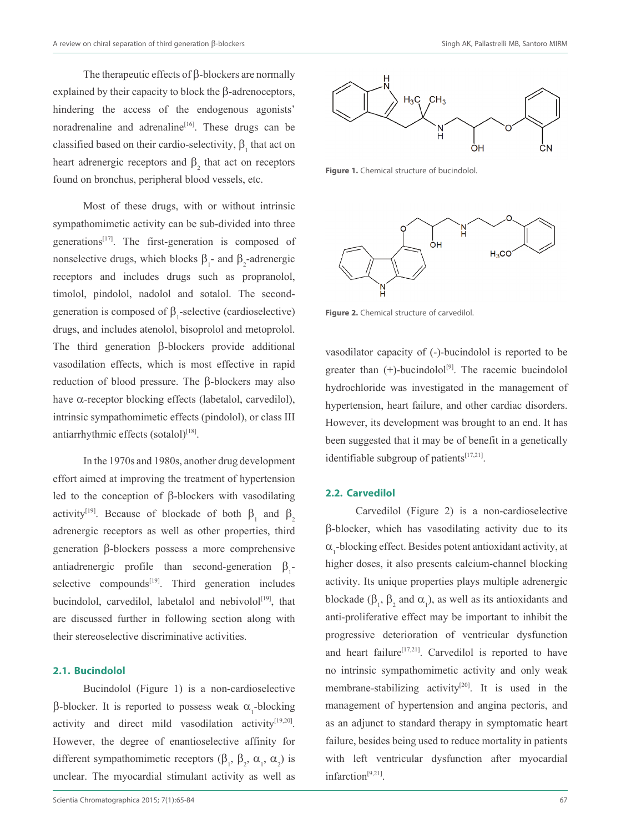The therapeutic effects of β-blockers are normally explained by their capacity to block the β-adrenoceptors, hindering the access of the endogenous agonists' noradrenaline and adrenaline<sup>[16]</sup>. These drugs can be classified based on their cardio-selectivity,  $\beta_1$  that act on heart adrenergic receptors and  $\beta_2$  that act on receptors found on bronchus, peripheral blood vessels, etc.

Most of these drugs, with or without intrinsic sympathomimetic activity can be sub-divided into three generations $[17]$ . The first-generation is composed of nonselective drugs, which blocks  $\beta_1$ - and  $\beta_2$ -adrenergic receptors and includes drugs such as propranolol, timolol, pindolol, nadolol and sotalol. The secondgeneration is composed of  $\beta_1$ -selective (cardioselective) drugs, and includes atenolol, bisoprolol and metoprolol. The third generation β-blockers provide additional vasodilation effects, which is most effective in rapid reduction of blood pressure. The β-blockers may also have α-receptor blocking effects (labetalol, carvedilol), intrinsic sympathomimetic effects (pindolol), or class III antiarrhythmic effects (sotalol)<sup>[18]</sup>.

In the 1970s and 1980s, another drug development effort aimed at improving the treatment of hypertension led to the conception of β-blockers with vasodilating activity<sup>[19]</sup>. Because of blockade of both  $\beta_1$  and  $\beta_2$ adrenergic receptors as well as other properties, third generation β-blockers possess a more comprehensive antiadrenergic profile than second-generation  $\beta_1$ selective compounds $[19]$ . Third generation includes bucindolol, carvedilol, labetalol and nebivolol<sup>[19]</sup>, that are discussed further in following section along with their stereoselective discriminative activities.

#### **2.1. Bucindolol**

Bucindolol (Figure 1) is a non-cardioselective β-blocker. It is reported to possess weak  $\alpha_1$ -blocking activity and direct mild vasodilation activity<sup>[19,20]</sup>. However, the degree of enantioselective affinity for different sympathomimetic receptors  $(\beta_1, \beta_2, \alpha_1, \alpha_2)$  is unclear. The myocardial stimulant activity as well as



**Figure 1.** Chemical structure of bucindolol.



**Figure 2.** Chemical structure of carvedilol.

vasodilator capacity of (-)-bucindolol is reported to be greater than  $(+)$ -bucindolol<sup>[9]</sup>. The racemic bucindolol hydrochloride was investigated in the management of hypertension, heart failure, and other cardiac disorders. However, its development was brought to an end. It has been suggested that it may be of benefit in a genetically identifiable subgroup of patients $[17,21]$ .

#### **2.2. Carvedilol**

Carvedilol (Figure 2) is a non-cardioselective β-blocker, which has vasodilating activity due to its  $\alpha_{_1}$ -blocking effect. Besides potent antioxidant activity, at higher doses, it also presents calcium-channel blocking activity. Its unique properties plays multiple adrenergic blockade ( $\beta_1$ ,  $\beta_2$  and  $\alpha_1$ ), as well as its antioxidants and anti-proliferative effect may be important to inhibit the progressive deterioration of ventricular dysfunction and heart failure<sup>[17,21]</sup>. Carvedilol is reported to have no intrinsic sympathomimetic activity and only weak membrane-stabilizing activity<sup>[20]</sup>. It is used in the management of hypertension and angina pectoris, and as an adjunct to standard therapy in symptomatic heart failure, besides being used to reduce mortality in patients with left ventricular dysfunction after myocardial infarction<sup>[9,21]</sup>.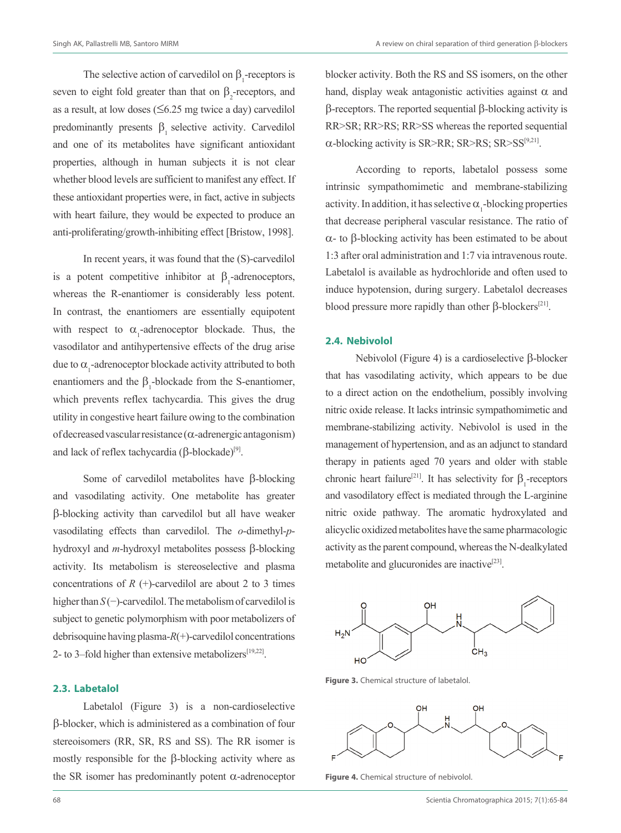The selective action of carvedilol on  $\beta_1$ -receptors is seven to eight fold greater than that on  $\beta_2$ -receptors, and as a result, at low doses  $( \leq 6.25 \text{ mg} \text{ twice a day})$  carvedilol predominantly presents  $\beta_1$  selective activity. Carvedilol and one of its metabolites have significant antioxidant properties, although in human subjects it is not clear whether blood levels are sufficient to manifest any effect. If these antioxidant properties were, in fact, active in subjects with heart failure, they would be expected to produce an anti-proliferating/growth-inhibiting effect [Bristow, 1998].

In recent years, it was found that the (S)-carvedilol is a potent competitive inhibitor at  $\beta_1$ -adrenoceptors, whereas the R-enantiomer is considerably less potent. In contrast, the enantiomers are essentially equipotent with respect to  $\alpha_1$ -adrenoceptor blockade. Thus, the vasodilator and antihypertensive effects of the drug arise due to  $\alpha_1$ -adrenoceptor blockade activity attributed to both enantiomers and the  $\beta_1$ -blockade from the S-enantiomer, which prevents reflex tachycardia. This gives the drug utility in congestive heart failure owing to the combination of decreased vascular resistance (α-adrenergic antagonism) and lack of reflex tachycardia (β-blockade)<sup>[9]</sup>.

Some of carvedilol metabolites have β-blocking and vasodilating activity. One metabolite has greater β-blocking activity than carvedilol but all have weaker vasodilating effects than carvedilol. The *o*-dimethyl-*p*hydroxyl and *m*-hydroxyl metabolites possess β-blocking activity. Its metabolism is stereoselective and plasma concentrations of  $R$  (+)-carvedilol are about 2 to 3 times higher than *S* (−)-carvedilol. The metabolism of carvedilol is subject to genetic polymorphism with poor metabolizers of debrisoquine having plasma-*R*(+)-carvedilol concentrations 2- to 3–fold higher than extensive metabolizers $[19,22]$ .

#### **2.3. Labetalol**

Labetalol (Figure 3) is a non-cardioselective β-blocker, which is administered as a combination of four stereoisomers (RR, SR, RS and SS). The RR isomer is mostly responsible for the β-blocking activity where as the SR isomer has predominantly potent  $α$ -adrenoceptor blocker activity. Both the RS and SS isomers, on the other hand, display weak antagonistic activities against  $\alpha$  and β-receptors. The reported sequential β-blocking activity is RR>SR; RR>RS; RR>SS whereas the reported sequential  $\alpha$ -blocking activity is SR>RR; SR>RS; SR>SS<sup>[9,21]</sup>.

According to reports, labetalol possess some intrinsic sympathomimetic and membrane-stabilizing activity. In addition, it has selective  $\alpha_{1}$ -blocking properties that decrease peripheral vascular resistance. The ratio of α- to β-blocking activity has been estimated to be about 1:3 after oral administration and 1:7 via intravenous route. Labetalol is available as hydrochloride and often used to induce hypotension, during surgery. Labetalol decreases blood pressure more rapidly than other  $\beta$ -blockers<sup>[21]</sup>.

#### **2.4. Nebivolol**

Nebivolol (Figure 4) is a cardioselective β-blocker that has vasodilating activity, which appears to be due to a direct action on the endothelium, possibly involving nitric oxide release. It lacks intrinsic sympathomimetic and membrane-stabilizing activity. Nebivolol is used in the management of hypertension, and as an adjunct to standard therapy in patients aged 70 years and older with stable chronic heart failure<sup>[21]</sup>. It has selectivity for  $\beta_1$ -receptors and vasodilatory effect is mediated through the L-arginine nitric oxide pathway. The aromatic hydroxylated and alicyclic oxidized metabolites have the same pharmacologic activity as the parent compound, whereas the N-dealkylated metabolite and glucuronides are inactive $[23]$ .



**Figure 3.** Chemical structure of labetalol.



**Figure 4.** Chemical structure of nebivolol.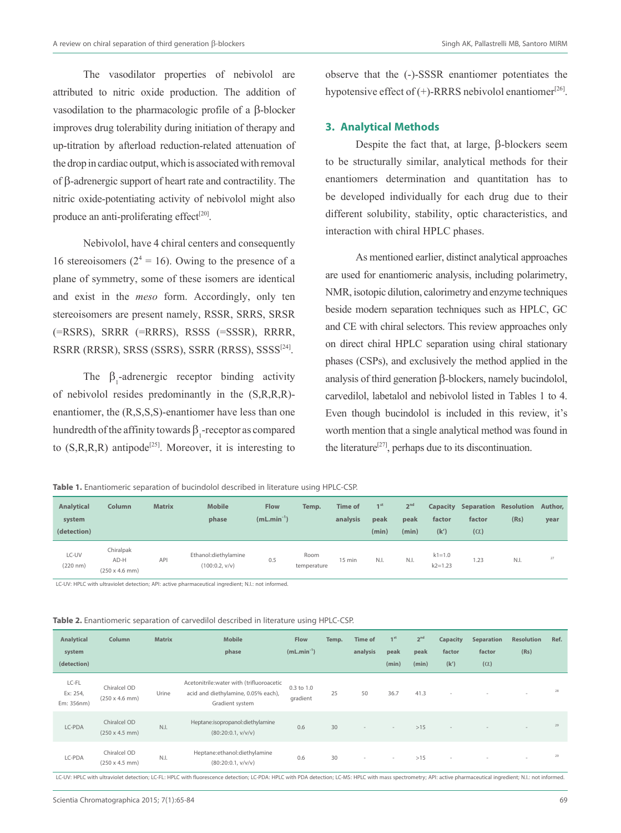The vasodilator properties of nebivolol are attributed to nitric oxide production. The addition of vasodilation to the pharmacologic profile of a β-blocker improves drug tolerability during initiation of therapy and up-titration by afterload reduction-related attenuation of the drop in cardiac output, which is associated with removal of β-adrenergic support of heart rate and contractility. The nitric oxide-potentiating activity of nebivolol might also produce an anti-proliferating effect<sup>[20]</sup>.

Nebivolol, have 4 chiral centers and consequently 16 stereoisomers ( $2^4 = 16$ ). Owing to the presence of a plane of symmetry, some of these isomers are identical and exist in the *meso* form. Accordingly, only ten stereoisomers are present namely, RSSR, SRRS, SRSR (=RSRS), SRRR (=RRRS), RSSS (=SSSR), RRRR, RSRR (RRSR), SRSS (SSRS), SSRR (RRSS), SSSS[24].

The  $\beta_1$ -adrenergic receptor binding activity of nebivolol resides predominantly in the (S,R,R,R) enantiomer, the (R,S,S,S)-enantiomer have less than one hundredth of the affinity towards  $\beta_1$ -receptor as compared to  $(S, R, R, R)$  antipode<sup>[25]</sup>. Moreover, it is interesting to

observe that the (-)-SSSR enantiomer potentiates the hypotensive effect of  $(+)$ -RRRS nebivolol enantiomer<sup>[26]</sup>.

## **3. Analytical Methods**

Despite the fact that, at large, β-blockers seem to be structurally similar, analytical methods for their enantiomers determination and quantitation has to be developed individually for each drug due to their different solubility, stability, optic characteristics, and interaction with chiral HPLC phases.

As mentioned earlier, distinct analytical approaches are used for enantiomeric analysis, including polarimetry, NMR, isotopic dilution, calorimetry and enzyme techniques beside modern separation techniques such as HPLC, GC and CE with chiral selectors. This review approaches only on direct chiral HPLC separation using chiral stationary phases (CSPs), and exclusively the method applied in the analysis of third generation β-blockers, namely bucindolol, carvedilol, labetalol and nebivolol listed in Tables 1 to 4. Even though bucindolol is included in this review, it's worth mention that a single analytical method was found in the literature<sup>[27]</sup>, perhaps due to its discontinuation.

**Table 1.** Enantiomeric separation of bucindolol described in literature using HPLC-CSP.

| <b>Analytical</b><br>system<br>(detection) | <b>Column</b>                                      | <b>Matrix</b> | <b>Mobile</b><br>phase                 | <b>Flow</b><br>$(mL.min^{-1})$ | Temp.               | <b>Time of</b><br>analysis | 1 <sup>st</sup><br>peak<br>(min) | 2 <sup>nd</sup><br>peak<br>(min) | Capacity<br>factor<br>(k') | Separation Resolution<br>factor<br>$(\alpha)$ | (Rs) | Author.<br>year |
|--------------------------------------------|----------------------------------------------------|---------------|----------------------------------------|--------------------------------|---------------------|----------------------------|----------------------------------|----------------------------------|----------------------------|-----------------------------------------------|------|-----------------|
| LC-UV<br>$(220 \; nm)$                     | Chiralpak<br>AD-H<br>$(250 \times 4.6 \text{ mm})$ | API           | Ethanol:diethylamine<br>(100:0.2, v/v) | 0.5                            | Room<br>temperature | $15$ min                   | N.I.                             | N.I.                             | $k1 = 1.0$<br>$k2 = 1.23$  | 1.23                                          | N.I. | 27              |

LC-UV: HPLC with ultraviolet detection; API: active pharmaceutical ingredient; N.I.: not informed.

|  | Table 2. Enantiomeric separation of carvedilol described in literature using HPLC-CSP. |  |  |  |  |  |  |  |  |  |  |
|--|----------------------------------------------------------------------------------------|--|--|--|--|--|--|--|--|--|--|
|--|----------------------------------------------------------------------------------------|--|--|--|--|--|--|--|--|--|--|

| Analytical<br>system<br>(detection) | Column                                                                                                                                                                                                                                                                                                        | <b>Matrix</b> | <b>Mobile</b><br>phase                                                                              | Flow<br>$(mL.min^{-1})$ | Temp. | <b>Time of</b><br>analysis | 1 <sup>st</sup><br>peak<br>(min) | 2 <sup>nd</sup><br>peak<br>(min) | Capacity<br>factor<br>(k') | Separation<br>factor<br>$(\alpha)$ | <b>Resolution</b><br>(Rs) | Ref. |
|-------------------------------------|---------------------------------------------------------------------------------------------------------------------------------------------------------------------------------------------------------------------------------------------------------------------------------------------------------------|---------------|-----------------------------------------------------------------------------------------------------|-------------------------|-------|----------------------------|----------------------------------|----------------------------------|----------------------------|------------------------------------|---------------------------|------|
| LC-FL<br>Ex: 254,<br>Em: 356nm)     | Chiralcel OD<br>$(250 \times 4.6 \text{ mm})$                                                                                                                                                                                                                                                                 | Urine         | Acetonitrile: water with (trifluoroacetic<br>acid and diethylamine, 0.05% each),<br>Gradient system | 0.3 to 1.0<br>gradient  | 25    | 50                         | 36.7                             | 41.3                             | $\overline{\phantom{a}}$   | $\sim$                             | $\sim$                    | 28   |
| LC-PDA                              | Chiralcel OD<br>$(250 \times 4.5 \text{ mm})$                                                                                                                                                                                                                                                                 | N.I.          | Heptane:isopropanol:diethylamine<br>(80:20:0.1, v/v/v)                                              | 0.6                     | 30    | $\sim$                     | $\sim$                           | >15                              |                            |                                    | $\frac{1}{2}$             | 29   |
| LC-PDA                              | Chiralcel OD<br>$(250 \times 4.5 \text{ mm})$<br>$\mathcal{L} = \{ \mathcal{L} \mid \mathcal{L} \in \mathcal{L} \}$ . The contract of the contract of the contract of the contract of the contract of the contract of the contract of the contract of the contract of the contract of the contract of the con | N.I.          | Heptane:ethanol:diethylamine<br>(80:20:0.1, v/v/v)                                                  | 0.6                     | 30    | $\sim$                     | $\sim$                           | >15                              | $\sim$<br>$\cdots$         |                                    | $\sim$<br>$\cdots$        | 29   |

letry; API: active pharmaceutical ingredient; N.I.: not infor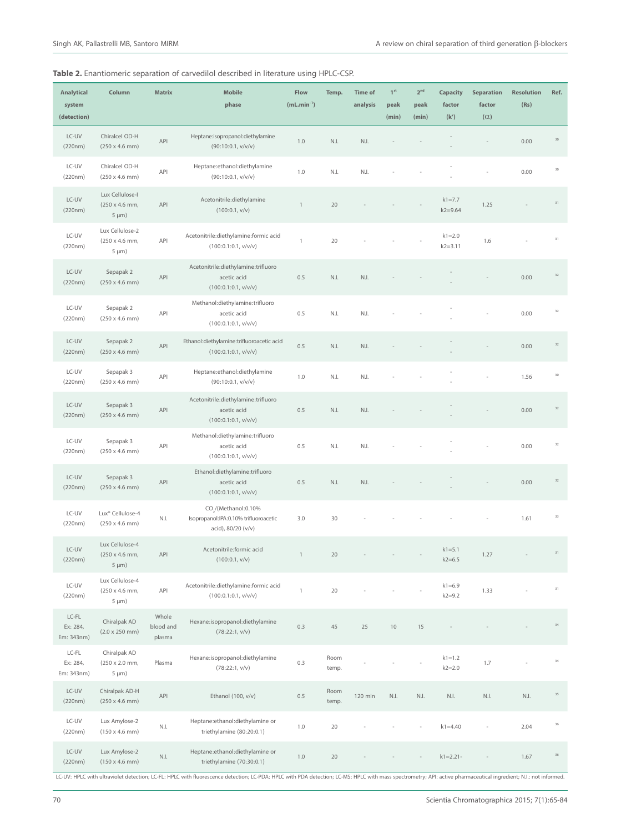| <b>Analytical</b><br>system<br>(detection) | Column                                                        | <b>Matrix</b>                | <b>Mobile</b><br>phase                                                                          | Flow<br>$(mL.min^{-1})$ | Temp.         | <b>Time of</b><br>analysis | $1st$<br>peak<br>(min) | $2^{nd}$<br>peak<br>(min) | Capacity<br>factor<br>(k') | <b>Separation</b><br>factor<br>$(\alpha)$ | <b>Resolution</b><br>(Rs) | Ref.   |
|--------------------------------------------|---------------------------------------------------------------|------------------------------|-------------------------------------------------------------------------------------------------|-------------------------|---------------|----------------------------|------------------------|---------------------------|----------------------------|-------------------------------------------|---------------------------|--------|
| LC-UV<br>(220nm)                           | Chiralcel OD-H<br>$(250 \times 4.6 \text{ mm})$               | API                          | Heptane:isopropanol:diethylamine<br>(90:10:0.1, v/v/v)                                          | 1.0                     | N.I.          | N.I.                       |                        |                           |                            |                                           | 0.00                      | 30     |
| LC-UV<br>(220nm)                           | Chiralcel OD-H<br>$(250 \times 4.6 \text{ mm})$               | API                          | Heptane:ethanol:diethylamine<br>(90:10:0.1, v/v/v)                                              | 1.0                     | N.I.          | N.I.                       |                        |                           |                            |                                           | 0.00                      | 30     |
| LC-UV<br>(220nm)                           | Lux Cellulose-I<br>(250 x 4.6 mm,<br>$5 \mu m$ )              | API                          | Acetonitrile:diethylamine<br>(100:0.1, v/v)                                                     | $\mathbf{1}$            | 20            |                            |                        |                           | $k1 = 7.7$<br>$k2 = 9.64$  | 1.25                                      |                           | 31     |
| LC-UV<br>(220nm)                           | Lux Cellulose-2<br>(250 x 4.6 mm,<br>$5 \mu m$ )              | API                          | Acetonitrile:diethylamine:formic acid<br>(100:0.1:0.1, v/v/v)                                   | $\mathbf{1}$            | 20            |                            |                        |                           | $k1 = 2.0$<br>$k2 = 3.11$  | 1.6                                       |                           | 31     |
| LC-UV<br>(220nm)                           | Sepapak 2<br>$(250 \times 4.6 \text{ mm})$                    | API                          | Acetonitrile:diethylamine:trifluoro<br>acetic acid<br>(100:0.1:0.1, v/v/v)                      | 0.5                     | N.I.          | N.I.                       |                        |                           |                            |                                           | 0.00                      | 32     |
| LC-UV<br>(220nm)                           | Sepapak 2<br>$(250 \times 4.6 \text{ mm})$                    | API                          | Methanol:diethylamine:trifluoro<br>acetic acid<br>(100:0.1:0.1, v/v/v)                          | 0.5                     | N.I.          | N.I.                       |                        |                           |                            |                                           | 0.00                      | 32     |
| LC-UV<br>(220nm)                           | Sepapak 2<br>$(250 \times 4.6 \text{ mm})$                    | API                          | Ethanol:diethylamine:trifluoroacetic acid<br>(100:0.1:0.1, v/v/v)                               | 0.5                     | N.I.          | N.I.                       |                        |                           |                            |                                           | 0.00                      | 32     |
| LC-UV<br>(220nm)                           | Sepapak 3<br>$(250 \times 4.6 \text{ mm})$                    | API                          | Heptane:ethanol:diethylamine<br>(90:10:0.1, v/v/v)                                              | 1.0                     | N.I.          | N.I.                       |                        |                           |                            |                                           | 1.56                      | 30     |
| LC-UV<br>(220nm)                           | Sepapak 3<br>$(250 \times 4.6 \text{ mm})$                    | API                          | Acetonitrile:diethylamine:trifluoro<br>acetic acid<br>(100:0.1:0.1, v/v/v)                      | 0.5                     | N.I.          | N.I.                       |                        |                           |                            |                                           | 0.00                      | 32     |
| LC-UV<br>(220nm)                           | Sepapak 3<br>$(250 \times 4.6 \text{ mm})$                    | API                          | Methanol:diethylamine:trifluoro<br>acetic acid<br>(100:0.1:0.1, v/v/v)                          | 0.5                     | N.I.          | N.I.                       |                        |                           |                            |                                           | 0.00                      | 32     |
| LC-UV<br>(220nm)                           | Sepapak 3<br>$(250 \times 4.6 \text{ mm})$                    | API                          | Ethanol:diethylamine:trifluoro<br>acetic acid<br>(100:0.1:0.1, v/v/v)                           | 0.5                     | N.I.          | N.I.                       |                        |                           |                            |                                           | 0.00                      | 32     |
| LC-UV<br>(220nm)                           | Lux <sup>®</sup> Cellulose-4<br>$(250 \times 4.6 \text{ mm})$ | $N.I.$                       | CO <sub>.</sub> /(Methanol:0.10%<br>Isopropanol:IPA:0.10% trifluoroacetic<br>acid), 80/20 (v/v) | 3.0                     | 30            |                            |                        |                           |                            |                                           | 1.61                      | 33     |
| LC-UV<br>(220nm)                           | Lux Cellulose-4<br>(250 x 4.6 mm,<br>$5 \mu m$ )              | API                          | Acetonitrile: formic acid<br>(100:0.1, v/v)                                                     | $\mathbf{1}$            | 20            |                            |                        |                           | $k1 = 5.1$<br>$k2 = 6.5$   | 1.27                                      |                           | $31\,$ |
| LC-UV<br>(220nm)                           | Lux Cellulose-4<br>(250 x 4.6 mm,<br>$5 \mu m$ )              | API                          | Acetonitrile:diethylamine:formic acid<br>(100:0.1:0.1, v/v/v)                                   | $\mathbf{1}$            | $20\,$        |                            |                        |                           | $k1 = 6.9$<br>$k2 = 9.2$   | 1.33                                      |                           | 31     |
| $LC-FL$<br>Ex: 284,<br>Em: 343nm)          | Chiralpak AD<br>$(2.0 \times 250 \text{ mm})$                 | Whole<br>blood and<br>plasma | Hexane:isopropanol:diethylamine<br>(78:22:1, v/v)                                               | 0.3                     | 45            | 25                         | $10$                   | 15                        |                            |                                           |                           | 34     |
| LC-FL<br>Ex: 284,<br>Em: 343nm)            | Chiralpak AD<br>(250 x 2.0 mm,<br>$5 \mu m$ )                 | Plasma                       | Hexane:isopropanol:diethylamine<br>(78:22:1, v/v)                                               | 0.3                     | Room<br>temp. |                            |                        |                           | $k1 = 1.2$<br>$k2 = 2.0$   | 1.7                                       |                           | 34     |
| LC-UV<br>(220nm)                           | Chiralpak AD-H<br>$(250 \times 4.6 \text{ mm})$               | API                          | Ethanol (100, v/v)                                                                              | 0.5                     | Room<br>temp. | 120 min                    | N.I.                   | N.I.                      | $\mathbb{N}$ .             | $\mathbb{N}$ .<br>I.                      | $\mathbb{N}$ .            | 35     |
| LC-UV<br>(220nm)                           | Lux Amylose-2<br>$(150 \times 4.6 \text{ mm})$                | $\mathbb{N}$ . $\mathbb{I}.$ | Heptane:ethanol:diethylamine or<br>triethylamine (80:20:0.1)                                    | 1.0                     | 20            |                            |                        |                           | $k1 = 4.40$                |                                           | 2.04                      | 36     |
| LC-UV<br>(220nm)                           | Lux Amylose-2<br>$(150 \times 4.6 \text{ mm})$                | $N.I.$                       | Heptane:ethanol:diethylamine or<br>triethylamine (70:30:0.1)                                    | $1.0\,$                 | 20            |                            |                        |                           | $k1 = 2.21 -$              |                                           | 1.67                      | 36     |

LC-UV: HPLC with ultraviolet detection; LC-FL: HPLC with fluorescence detection; LC-PDA: HPLC with PDA detection; LC-MS: HPLC with mass spectrometry; API: active pharmaceutical ingredient; N.I.: not informed.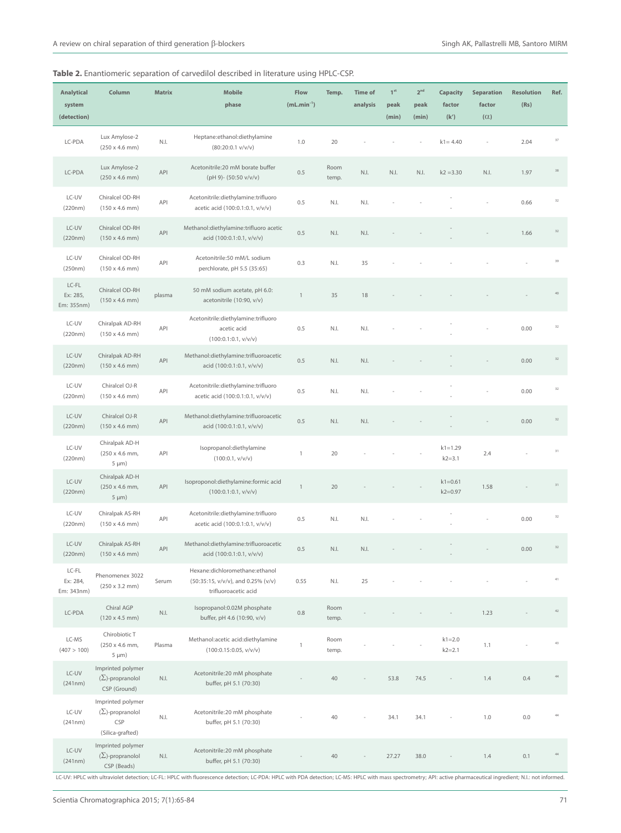| <b>Analytical</b><br>system<br>(detection) | Column                                                                  | <b>Matrix</b> | <b>Mobile</b><br>phase                                                                       | Flow<br>$(mL.min^{-1})$ | Temp.         | <b>Time of</b><br>analysis | $1^{\rm st}$<br>peak<br>(min) | 2 <sup>nd</sup><br>peak<br>(min) | Capacity<br>factor<br>(k') | <b>Separation</b><br>factor<br>$(\alpha)$ | <b>Resolution</b><br>(Rs) | Ref.   |
|--------------------------------------------|-------------------------------------------------------------------------|---------------|----------------------------------------------------------------------------------------------|-------------------------|---------------|----------------------------|-------------------------------|----------------------------------|----------------------------|-------------------------------------------|---------------------------|--------|
| LC-PDA                                     | Lux Amylose-2<br>$(250 \times 4.6 \text{ mm})$                          | N.I.          | Heptane:ethanol:diethylamine<br>$(80:20:0.1 \text{ v/v/v})$                                  | 1.0                     | 20            |                            |                               |                                  | $k1 = 4.40$                |                                           | 2.04                      | 37     |
| LC-PDA                                     | Lux Amylose-2<br>$(250 \times 4.6 \text{ mm})$                          | API           | Acetonitrile:20 mM borate buffer<br>(pH 9)- (50:50 v/v/v)                                    | 0.5                     | Room<br>temp. | N.I.                       | N.I.                          | N.I.                             | $k2 = 3.30$                | N.I.                                      | 1.97                      | 38     |
| LC-UV<br>(220nm)                           | Chiralcel OD-RH<br>$(150 \times 4.6 \text{ mm})$                        | API           | Acetonitrile:diethylamine:trifluoro<br>acetic acid (100:0.1:0.1, v/v/v)                      | 0.5                     | N.I.          | N.I.                       |                               |                                  |                            |                                           | 0.66                      | 32     |
| LC-UV<br>(220nm)                           | Chiralcel OD-RH<br>$(150 \times 4.6 \text{ mm})$                        | API           | Methanol:diethylamine:trifluoro acetic<br>acid (100:0.1:0.1, v/v/v)                          | 0.5                     | N.I.          | N.I.                       |                               |                                  |                            |                                           | 1.66                      | 32     |
| LC-UV<br>(250nm)                           | Chiralcel OD-RH<br>$(150 \times 4.6 \text{ mm})$                        | API           | Acetonitrile:50 mM/L sodium<br>perchlorate, pH 5.5 (35:65)                                   | 0.3                     | N.I.          | 35                         |                               |                                  |                            |                                           |                           | 39     |
| $LC-FL$<br>Ex: 285,<br>Em: 355nm)          | Chiralcel OD-RH<br>$(150 \times 4.6 \text{ mm})$                        | plasma        | 50 mM sodium acetate, pH 6.0:<br>acetonitrile (10:90, v/v)                                   | $\,$ 1 $\,$             | 35            | 18                         |                               |                                  |                            |                                           |                           | 40     |
| LC-UV<br>(220nm)                           | Chiralpak AD-RH<br>$(150 \times 4.6 \text{ mm})$                        | API           | Acetonitrile:diethylamine:trifluoro<br>acetic acid<br>(100:0.1:0.1, v/v/v)                   | 0.5                     | N.I.          | N.I.                       |                               |                                  |                            |                                           | 0.00                      | 32     |
| LC-UV<br>(220nm)                           | Chiralpak AD-RH<br>$(150 \times 4.6 \text{ mm})$                        | API           | Methanol:diethylamine:trifluoroacetic<br>acid (100:0.1:0.1, v/v/v)                           | 0.5                     | N.I.          | N.I.                       |                               |                                  |                            |                                           | 0.00                      | 32     |
| LC-UV<br>(220nm)                           | Chiralcel OJ-R<br>$(150 \times 4.6 \text{ mm})$                         | API           | Acetonitrile:diethylamine:trifluoro<br>acetic acid (100:0.1:0.1, v/v/v)                      | 0.5                     | N.I.          | N.I.                       |                               |                                  |                            |                                           | 0.00                      | 32     |
| LC-UV<br>(220nm)                           | Chiralcel OJ-R<br>$(150 \times 4.6 \text{ mm})$                         | API           | Methanol:diethylamine:trifluoroacetic<br>acid (100:0.1:0.1, v/v/v)                           | 0.5                     | N.I.          | N.I.                       |                               |                                  |                            |                                           | 0.00                      | 32     |
| LC-UV<br>(220nm)                           | Chiralpak AD-H<br>(250 x 4.6 mm,<br>$5 \mu m$ )                         | API           | Isopropanol:diethylamine<br>(100:0.1, v/v/v)                                                 | $\mathbf{1}$            | 20            |                            |                               |                                  | $k1 = 1.29$<br>$k2 = 3.1$  | 2.4                                       |                           | 31     |
| LC-UV<br>(220nm)                           | Chiralpak AD-H<br>(250 x 4.6 mm,<br>$5 \mu m$ )                         | API           | Isoproponol:diethylamine:formic acid<br>(100:0.1:0.1, v/v/v)                                 | $\mathbf{1}$            | 20            |                            |                               |                                  | $k1 = 0.61$<br>$k2 = 0.97$ | 1.58                                      |                           | 31     |
| LC-UV<br>(220nm)                           | Chiralpak AS-RH<br>$(150 \times 4.6 \text{ mm})$                        | API           | Acetonitrile:diethylamine:trifluoro<br>acetic acid (100:0.1:0.1, v/v/v)                      | 0.5                     | N.I.          | N.I.                       |                               |                                  |                            |                                           | 0.00                      | 32     |
| LC-UV<br>(220nm)                           | Chiralpak AS-RH<br>$(150 \times 4.6 \text{ mm})$                        | API           | Methanol:diethylamine:trifluoroacetic<br>acid (100:0.1:0.1, v/v/v)                           | 0.5                     | N.I.          | N.I.                       |                               |                                  |                            |                                           | 0.00                      | 32     |
| LC-FL<br>Ex: 284,<br>Em: 343nm)            | Phenomenex 3022<br>$(250 \times 3.2 \text{ mm})$                        | Serum         | Hexane:dichloromethane:ethanol<br>(50:35:15, v/v/v), and 0.25% (v/v)<br>trifluoroacetic acid | 0.55                    | N.I.          | 25                         |                               |                                  |                            |                                           |                           | $41\,$ |
| LC-PDA                                     | Chiral AGP<br>$(120 \times 4.5 \text{ mm})$                             | N.I.          | Isopropanol:0.02M phosphate<br>buffer, pH 4.6 (10:90, v/v)                                   | 0.8                     | Room<br>temp. |                            |                               |                                  |                            | 1.23                                      |                           | $42\,$ |
| LC-MS<br>(407 > 100)                       | Chirobiotic T<br>(250 x 4.6 mm,<br>$5 \mu m$ )                          | Plasma        | Methanol:acetic acid:diethylamine<br>(100:0.15:0.05, v/v/v)                                  | $\mathbf{1}$            | Room<br>temp. |                            |                               |                                  | $k1 = 2.0$<br>$k2 = 2.1$   | 1.1                                       |                           | 43     |
| $LC-UV$<br>(241nm)                         | Imprinted polymer<br>$(\Sigma)$ -propranolol<br>CSP (Ground)            | N.I.          | Acetonitrile:20 mM phosphate<br>buffer, pH 5.1 (70:30)                                       |                         | 40            |                            | 53.8                          | 74.5                             |                            | 1.4                                       | 0.4                       | 44     |
| LC-UV<br>(241nm)                           | Imprinted polymer<br>$(\Sigma)$ -propranolol<br>CSP<br>(Silica-grafted) | N.I.          | Acetonitrile:20 mM phosphate<br>buffer, pH 5.1 (70:30)                                       |                         | 40            |                            | 34.1                          | 34.1                             |                            | 1.0                                       | 0.0                       | 44     |
| LC-UV<br>(241nm)                           | Imprinted polymer<br>$(\Sigma)$ -propranolol<br>CSP (Beads)             | N.I.          | Acetonitrile:20 mM phosphate<br>buffer, pH 5.1 (70:30)                                       |                         | 40            |                            | 27.27                         | 38.0                             |                            | 1.4                                       | 0.1                       | 44     |

LC-UV: HPLC with ultraviolet detection; LC-FL: HPLC with fluorescence detection; LC-PDA: HPLC with PDA detection; LC-MS: HPLC with mass spectrometry; API: active pharmaceutical ingredient; N.I.: not informed.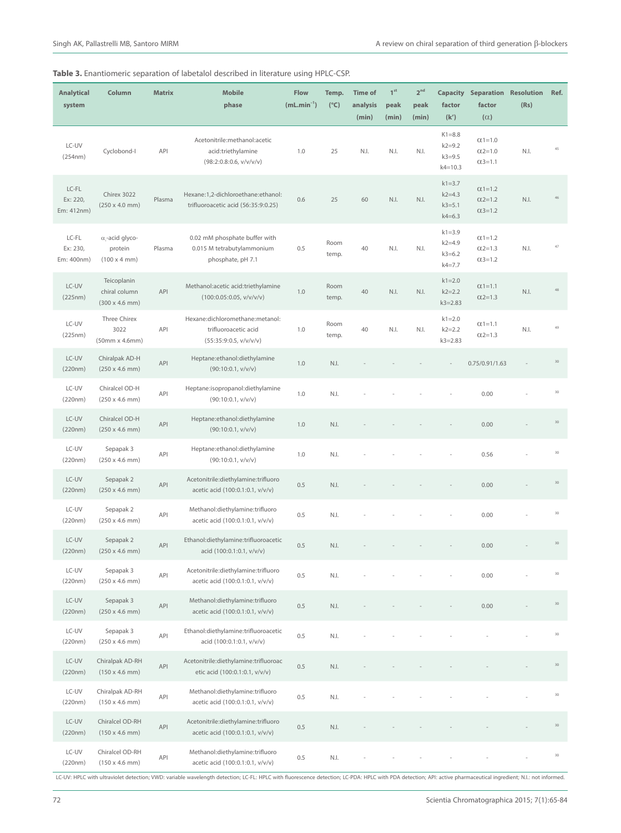| <b>Analytical</b><br>system     | Column                                                          | <b>Matrix</b> | <b>Mobile</b><br>phase                                                            | <b>Flow</b><br>$(mL.min-1)$ | Temp.<br>$(^{\circ}C)$ | <b>Time of</b><br>analysis<br>(min) | 1 <sup>st</sup><br>peak<br>(min) | 2 <sup>nd</sup><br>peak<br>(min) | <b>Capacity</b><br>factor<br>(k')                     | <b>Separation Resolution</b><br>factor<br>$(\alpha)$ | (Rs) | Ref.            |
|---------------------------------|-----------------------------------------------------------------|---------------|-----------------------------------------------------------------------------------|-----------------------------|------------------------|-------------------------------------|----------------------------------|----------------------------------|-------------------------------------------------------|------------------------------------------------------|------|-----------------|
| LC-UV<br>(254nm)                | Cyclobond-I                                                     | API           | Acetonitrile:methanol:acetic<br>acid:triethylamine<br>(98:2:0.8:0.6, v/v/v/v)     | 1.0                         | 25                     | N.I.                                | N.I.                             | N.I.                             | $K1 = 8.8$<br>$k2 = 9.2$<br>$k3 = 9.5$<br>$k4 = 10.3$ | $Q(1=1.0)$<br>$0.2 = 1.0$<br>$0.3 = 1.1$             | N.I. | 45              |
| LC-FL<br>Ex: 220.<br>Em: 412nm) | Chirex 3022<br>$(250 \times 4.0 \text{ mm})$                    | Plasma        | Hexane:1,2-dichloroethane:ethanol:<br>trifluoroacetic acid (56:35:9:0.25)         | 0.6                         | 25                     | 60                                  | N.I.                             | N.I.                             | $k1 = 3.7$<br>$k2 = 4.3$<br>$k3 = 5.1$<br>$k4 = 6.3$  | $Q(1=1.2)$<br>$Q2 = 1.2$<br>$(1, 3) = 1.2$           | N.I. |                 |
| LC-FL<br>Ex: 230,<br>Em: 400nm) | $\alpha$ -acid glyco-<br>protein<br>$(100 \times 4 \text{ mm})$ | Plasma        | 0.02 mM phosphate buffer with<br>0.015 M tetrabutylammonium<br>phosphate, pH 7.1  | 0.5                         | Room<br>temp.          | 40                                  | N.I.                             | N.I.                             | $k1 = 3.9$<br>$k2 = 4.9$<br>$k3 = 6.2$<br>$k4 = 7.7$  | $Q = 1.2$<br>$0.2 = 1.3$<br>$0.3 = 1.2$              | N.I. | 47              |
| LC-UV<br>(225nm)                | Teicoplanin<br>chiral column<br>$(300 \times 4.6 \text{ mm})$   | API           | Methanol:acetic acid:triethylamine<br>(100:0.05:0.05, v/v/v/v)                    | 1.0                         | Room<br>temp.          | 40                                  | N.I.                             | N.I.                             | $k1 = 2.0$<br>$k2 = 2.2$<br>$k3 = 2.83$               | $Q(1=1.1)$<br>$Q2 = 1.3$                             | N.I. | 48              |
| LC-UV<br>(225nm)                | Three Chirex<br>3022<br>(50mm x 4.6mm)                          | API           | Hexane:dichloromethane:metanol:<br>trifluoroacetic acid<br>(55:35:9:0.5, v/v/v/v) | 1.0                         | Room<br>temp.          | 40                                  | N.I.                             | N.I.                             | $k1 = 2.0$<br>$k2 = 2.2$<br>$k3 = 2.83$               | $Q(1=1.1)$<br>$0.2 = 1.3$                            | N.I. | 49              |
| LC-UV<br>(220nm)                | Chiralpak AD-H<br>$(250 \times 4.6 \text{ mm})$                 | API           | Heptane:ethanol:diethylamine<br>(90:10:0.1, v/v/v)                                | 1.0                         | N.I.                   |                                     |                                  |                                  |                                                       | 0.75/0.91/1.63                                       |      | 30              |
| LC-UV<br>(220nm)                | Chiralcel OD-H<br>$(250 \times 4.6 \text{ mm})$                 | API           | Heptane:isopropanol:diethylamine<br>(90:10:0.1, v/v/v)                            | 1.0                         | N.I.                   |                                     |                                  |                                  |                                                       | 0.00                                                 |      | 30              |
| LC-UV<br>(220nm)                | Chiralcel OD-H<br>$(250 \times 4.6 \text{ mm})$                 | API           | Heptane:ethanol:diethylamine<br>(90:10:0.1, v/v/v)                                | 1.0                         | N.I.                   |                                     |                                  |                                  |                                                       | 0.00                                                 |      | 30              |
| LC-UV<br>(220nm)                | Sepapak 3<br>$(250 \times 4.6 \text{ mm})$                      | API           | Heptane:ethanol:diethylamine<br>(90:10:0.1, v/v/v)                                | 1.0                         | N.I.                   |                                     |                                  |                                  |                                                       | 0.56                                                 |      | 30              |
| LC-UV<br>(220nm)                | Sepapak 2<br>$(250 \times 4.6 \text{ mm})$                      | API           | Acetonitrile:diethylamine:trifluoro<br>acetic acid (100:0.1:0.1, v/v/v)           | 0.5                         | N.I.                   |                                     |                                  |                                  |                                                       | 0.00                                                 |      | 30 <sup>°</sup> |
| LC-UV<br>(220nm)                | Sepapak 2<br>$(250 \times 4.6 \text{ mm})$                      | API           | Methanol:diethylamine:trifluoro<br>acetic acid (100:0.1:0.1, v/v/v)               | 0.5                         | N.I.                   |                                     |                                  |                                  |                                                       | 0.00                                                 |      | 30              |
| LC-UV<br>(220nm)                | Sepapak 2<br>$(250 \times 4.6 \text{ mm})$                      | API           | Ethanol:diethylamine:trifluoroacetic<br>acid (100:0.1:0.1, v/v/v)                 | 0.5                         | N.I.                   |                                     |                                  |                                  |                                                       | 0.00                                                 |      | 30              |
| LC-UV<br>(220nm)                | Sepapak 3<br>$(250 \times 4.6 \text{ mm})$                      | API           | Acetonitrile:diethylamine:trifluoro<br>acetic acid (100:0.1:0.1, v/v/v)           | 0.5                         | N.I.                   |                                     |                                  |                                  |                                                       | 0.00                                                 |      | 30              |
| LC-UV<br>(220nm)                | Sepapak 3<br>$(250 \times 4.6 \text{ mm})$                      | API           | Methanol:diethylamine:trifluoro<br>acetic acid (100:0.1:0.1, v/v/v)               | 0.5                         | N.I.                   |                                     |                                  |                                  |                                                       | 0.00                                                 |      | $30\,$          |
| LC-UV<br>(220nm)                | Sepapak 3<br>$(250 \times 4.6 \text{ mm})$                      | API           | Ethanol:diethylamine:trifluoroacetic<br>acid (100:0.1:0.1, v/v/v)                 | 0.5                         | N.I.                   |                                     |                                  |                                  |                                                       |                                                      |      | 30              |
| LC-UV<br>(220nm)                | Chiralpak AD-RH<br>$(150 \times 4.6 \text{ mm})$                | API           | Acetonitrile:diethylamine:trifluoroac<br>etic acid (100:0.1:0.1, v/v/v)           | 0.5                         | N.I.                   |                                     |                                  |                                  |                                                       |                                                      |      | 30              |
| LC-UV<br>(220nm)                | Chiralpak AD-RH<br>$(150 \times 4.6 \text{ mm})$                | API           | Methanol:diethylamine:trifluoro<br>acetic acid (100:0.1:0.1, v/v/v)               | 0.5                         | N.I.                   |                                     |                                  |                                  |                                                       |                                                      |      | 30              |
| LC-UV<br>(220nm)                | Chiralcel OD-RH<br>$(150 \times 4.6 \text{ mm})$                | API           | Acetonitrile:diethylamine:trifluoro<br>acetic acid (100:0.1:0.1, v/v/v)           | 0.5                         | N.I.                   |                                     |                                  |                                  |                                                       |                                                      |      | $30\,$          |
| LC-UV<br>(220nm)                | Chiralcel OD-RH<br>$(150 \times 4.6 \text{ mm})$                | API           | Methanol:diethylamine:trifluoro<br>acetic acid (100:0.1:0.1, v/v/v)               | 0.5                         | N.I.                   |                                     |                                  |                                  |                                                       |                                                      |      | $30\,$          |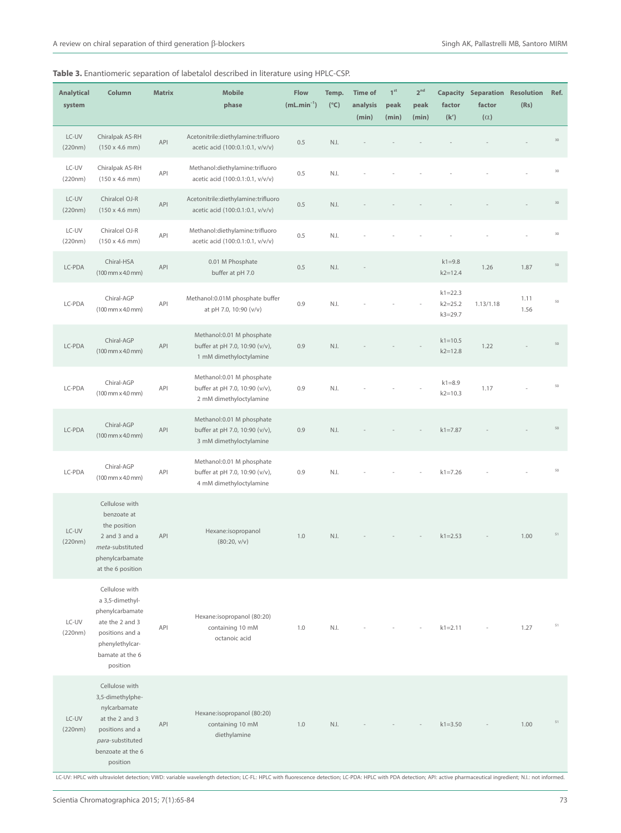| <b>Analytical</b><br>system | Column                                                                                                                                       | <b>Matrix</b> | <b>Mobile</b><br>phase                                                                  | Flow<br>$(mL.min-1)$ | Temp.<br>$(^{\circ}C)$ | <b>Time of</b><br>analysis<br>(min) | 1 <sup>st</sup><br>peak<br>(min) | 2 <sup>nd</sup><br>peak<br>(min) | factor<br>(k')                            | <b>Capacity Separation Resolution</b><br>factor<br>$(\alpha)$ | (Rs)         | Ref.   |
|-----------------------------|----------------------------------------------------------------------------------------------------------------------------------------------|---------------|-----------------------------------------------------------------------------------------|----------------------|------------------------|-------------------------------------|----------------------------------|----------------------------------|-------------------------------------------|---------------------------------------------------------------|--------------|--------|
| LC-UV<br>(220nm)            | Chiralpak AS-RH<br>$(150 \times 4.6 \text{ mm})$                                                                                             | API           | Acetonitrile:diethylamine:trifluoro<br>acetic acid (100:0.1:0.1, v/v/v)                 | 0.5                  | N.I.                   |                                     |                                  |                                  |                                           |                                                               |              | 30     |
| LC-UV<br>(220nm)            | Chiralpak AS-RH<br>$(150 \times 4.6 \text{ mm})$                                                                                             | API           | Methanol:diethylamine:trifluoro<br>acetic acid (100:0.1:0.1, v/v/v)                     | 0.5                  | N.I.                   |                                     |                                  |                                  |                                           |                                                               |              | 30     |
| LC-UV<br>(220nm)            | Chiralcel OJ-R<br>$(150 \times 4.6 \text{ mm})$                                                                                              | API           | Acetonitrile:diethylamine:trifluoro<br>acetic acid (100:0.1:0.1, v/v/v)                 | 0.5                  | N.I.                   |                                     |                                  |                                  |                                           |                                                               |              | 30     |
| LC-UV<br>(220nm)            | Chiralcel OJ-R<br>$(150 \times 4.6 \text{ mm})$                                                                                              | API           | Methanol:diethylamine:trifluoro<br>acetic acid (100:0.1:0.1, v/v/v)                     | 0.5                  | N.I.                   |                                     |                                  |                                  |                                           |                                                               |              | 30     |
| LC-PDA                      | Chiral-HSA<br>$(100 \, \text{mm} \times 4.0 \, \text{mm})$                                                                                   | API           | 0.01 M Phosphate<br>buffer at pH 7.0                                                    | 0.5                  | N.I.                   |                                     |                                  |                                  | $k1 = 9.8$<br>$k2 = 12.4$                 | 1.26                                                          | 1.87         | 50     |
| LC-PDA                      | Chiral-AGP<br>$(100 \, \text{mm} \times 4.0 \, \text{mm})$                                                                                   | API           | Methanol:0.01M phosphate buffer<br>at pH 7.0, 10:90 (v/v)                               | 0.9                  | N.I.                   |                                     |                                  |                                  | $k1 = 22.3$<br>$k2 = 25.2$<br>$k3 = 29.7$ | 1.13/1.18                                                     | 1.11<br>1.56 | 50     |
| LC-PDA                      | Chiral-AGP<br>$(100 \, \text{mm} \times 4.0 \, \text{mm})$                                                                                   | API           | Methanol: 0.01 M phosphate<br>buffer at pH 7.0, 10:90 (v/v),<br>1 mM dimethyloctylamine | 0.9                  | N.I.                   |                                     |                                  |                                  | $k1 = 10.5$<br>$k2 = 12.8$                | 1.22                                                          |              | 50     |
| LC-PDA                      | Chiral-AGP<br>$(100$ mm $\times$ 4.0 mm)                                                                                                     | API           | Methanol: 0.01 M phosphate<br>buffer at pH 7.0, 10:90 (v/v),<br>2 mM dimethyloctylamine | 0.9                  | N.I.                   |                                     |                                  |                                  | $k1 = 8.9$<br>$k2 = 10.3$                 | 1.17                                                          |              | 50     |
| LC-PDA                      | Chiral-AGP<br>$(100 \, \text{mm} \times 4.0 \, \text{mm})$                                                                                   | API           | Methanol: 0.01 M phosphate<br>buffer at pH 7.0, 10:90 (v/v),<br>3 mM dimethyloctylamine | 0.9                  | N.I.                   |                                     |                                  |                                  | $k1 = 7.87$                               |                                                               |              | 50     |
| LC-PDA                      | Chiral-AGP<br>$(100 \, \text{mm} \times 4.0 \, \text{mm})$                                                                                   | API           | Methanol: 0.01 M phosphate<br>buffer at pH 7.0, 10:90 (v/v),<br>4 mM dimethyloctylamine | 0.9                  | N.I.                   |                                     |                                  |                                  | $k1 = 7.26$                               |                                                               |              | 50     |
| LC-UV<br>(220nm)            | Cellulose with<br>benzoate at<br>the position<br>2 and 3 and a<br>meta-substituted<br>phenylcarbamate<br>at the 6 position                   | API           | Hexane:isopropanol<br>(80:20, v/v)                                                      | 1.0                  | N.I.                   |                                     |                                  |                                  | $k1 = 2.53$                               |                                                               | 1.00         | 51     |
| LC-UV<br>(220nm)            | Cellulose with<br>a 3,5-dimethyl-<br>phenylcarbamate<br>ate the 2 and 3<br>positions and a<br>phenylethylcar-<br>bamate at the 6<br>position | API           | Hexane:isopropanol (80:20)<br>containing 10 mM<br>octanoic acid                         | 1.0                  | N.I.                   |                                     |                                  |                                  | $k1 = 2.11$                               |                                                               | 1.27         | 51     |
| LC-UV<br>(220nm)            | Cellulose with<br>3,5-dimethylphe-<br>nylcarbamate<br>at the 2 and 3<br>positions and a<br>para-substituted<br>benzoate at the 6<br>position | API           | Hexane:isopropanol (80:20)<br>containing 10 mM<br>diethylamine                          | 1.0                  | N.I.                   |                                     |                                  |                                  | $k1 = 3.50$                               |                                                               | 1.00         | $51\,$ |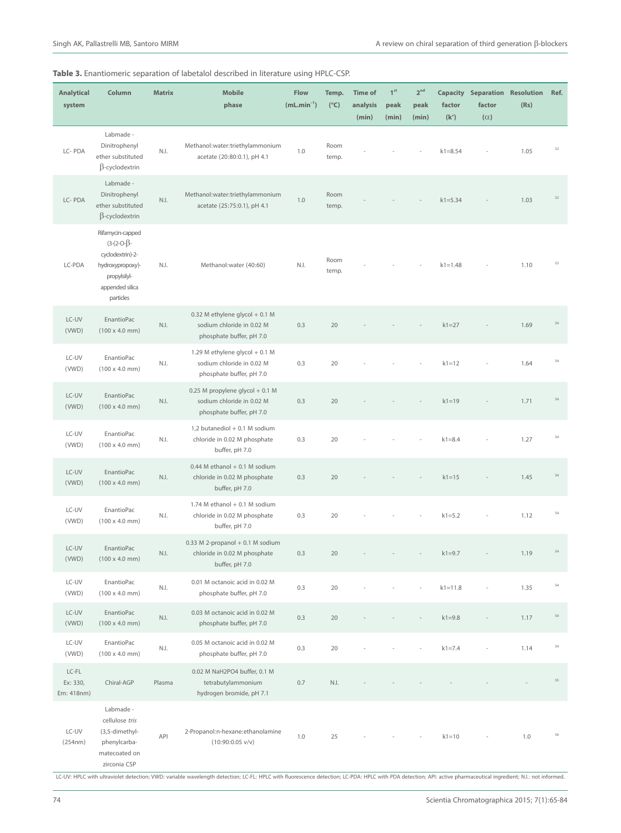| <b>Analytical</b><br>system     | Column                                                                                                                       | <b>Matrix</b>     | <b>Mobile</b><br>phase                                                                   | <b>Flow</b><br>$(mL.min^{-1})$ | Temp.<br>$(^{\circ}C)$ | <b>Time of</b><br>analysis<br>(min) | 1 <sup>st</sup><br>peak<br>(min) | 2 <sup>nd</sup><br>peak<br>(min) | factor<br>(k') | <b>Capacity Separation Resolution</b><br>factor<br>$(\alpha)$ | (Rs) | Ref.   |
|---------------------------------|------------------------------------------------------------------------------------------------------------------------------|-------------------|------------------------------------------------------------------------------------------|--------------------------------|------------------------|-------------------------------------|----------------------------------|----------------------------------|----------------|---------------------------------------------------------------|------|--------|
| LC-PDA                          | Labmade -<br>Dinitrophenyl<br>ether substituted<br>$\beta$ -cyclodextrin                                                     | N.I.              | Methanol:water:triethylammonium<br>acetate (20:80:0.1), pH 4.1                           | 1.0                            | Room<br>temp.          |                                     |                                  |                                  | $k1 = 8.54$    |                                                               | 1.05 | 52     |
| LC-PDA                          | Labmade -<br>Dinitrophenyl<br>ether substituted<br>$\beta$ -cyclodextrin                                                     | N.I.              | Methanol:water:triethylammonium<br>acetate (25:75:0.1), pH 4.1                           | 1.0                            | Room<br>temp.          |                                     |                                  |                                  | $k1 = 5.34$    |                                                               | 1.03 | 52     |
| LC-PDA                          | Rifamycin-capped<br>$(3-(2-O-\beta-$<br>cyclodextrin)-2-<br>hydroxypropoxy)-<br>propylsilyl-<br>appended silica<br>particles | N.I.              | Methanol: water (40:60)                                                                  | N.I.                           | Room<br>temp.          |                                     |                                  |                                  | $k1 = 1.48$    |                                                               | 1.10 | 53     |
| LC-UV<br>(VWD)                  | EnantioPac<br>$(100 \times 4.0 \text{ mm})$                                                                                  | N.I.              | 0.32 M ethylene glycol + 0.1 M<br>sodium chloride in 0.02 M<br>phosphate buffer, pH 7.0  | 0.3                            | 20                     |                                     |                                  |                                  | $k1 = 27$      |                                                               | 1.69 | 54     |
| LC-UV<br>(VWD)                  | EnantioPac<br>$(100 \times 4.0 \text{ mm})$                                                                                  | N.I.              | 1.29 M ethylene glycol + 0.1 M<br>sodium chloride in 0.02 M<br>phosphate buffer, pH 7.0  | 0.3                            | 20                     |                                     |                                  |                                  | $k1=12$        |                                                               | 1.64 | 54     |
| LC-UV<br>(VWD)                  | EnantioPac<br>$(100 \times 4.0 \text{ mm})$                                                                                  | N.I.              | 0.25 M propylene glycol + 0.1 M<br>sodium chloride in 0.02 M<br>phosphate buffer, pH 7.0 | 0.3                            | 20                     |                                     |                                  |                                  | $k1=19$        |                                                               | 1.71 | $54\,$ |
| LC-UV<br>(VWD)                  | EnantioPac<br>$(100 \times 4.0 \text{ mm})$                                                                                  | N.I.              | 1,2 butanediol + 0.1 M sodium<br>chloride in 0.02 M phosphate<br>buffer, pH 7.0          | 0.3                            | 20                     |                                     |                                  |                                  | $k1 = 8.4$     |                                                               | 1.27 | $54\,$ |
| LC-UV<br>(VWD)                  | EnantioPac<br>$(100 \times 4.0 \text{ mm})$                                                                                  | N.I.              | $0.44$ M ethanol + 0.1 M sodium<br>chloride in 0.02 M phosphate<br>buffer, pH 7.0        | 0.3                            | 20                     |                                     |                                  |                                  | $k1 = 15$      |                                                               | 1.45 | $54\,$ |
| LC-UV<br>(VWD)                  | <b>EnantioPac</b><br>$(100 \times 4.0 \text{ mm})$                                                                           | N.I.              | 1.74 M ethanol + 0.1 M sodium<br>chloride in 0.02 M phosphate<br>buffer, pH 7.0          | 0.3                            | 20                     |                                     |                                  |                                  | $k1 = 5.2$     |                                                               | 1.12 | $54\,$ |
| LC-UV<br>(VWD)                  | <b>EnantioPac</b><br>$(100 \times 4.0 \text{ mm})$                                                                           | N.I.              | 0.33 M 2-propanol + 0.1 M sodium<br>chloride in 0.02 M phosphate<br>buffer, pH 7.0       | 0.3                            | 20                     |                                     |                                  |                                  | $k1 = 9.7$     |                                                               | 1.19 | $54\,$ |
| LC-UV<br>(VWD)                  | EnantioPac<br>$(100 \times 4.0 \text{ mm})$                                                                                  | N.I.              | 0.01 M octanoic acid in 0.02 M<br>phosphate buffer, pH 7.0                               | 0.3                            | 20                     |                                     |                                  |                                  | $k1 = 11.8$    |                                                               | 1.35 | $54\,$ |
| LC-UV<br>(VWD)                  | EnantioPac<br>$(100 \times 4.0 \text{ mm})$                                                                                  | $\mathbb{N}$ . I. | 0.03 M octanoic acid in 0.02 M<br>phosphate buffer, pH 7.0                               | 0.3                            | 20                     |                                     |                                  |                                  | $k1 = 9.8$     |                                                               | 1.17 | $54\,$ |
| LC-UV<br>(VWD)                  | EnantioPac<br>$(100 \times 4.0 \text{ mm})$                                                                                  | N.I.              | 0.05 M octanoic acid in 0.02 M<br>phosphate buffer, pH 7.0                               | 0.3                            | 20                     |                                     |                                  |                                  | $k1 = 7.4$     |                                                               | 1.14 | $54\,$ |
| LC-FL<br>Ex: 330,<br>Em: 418nm) | Chiral-AGP                                                                                                                   | Plasma            | 0.02 M NaH2PO4 buffer, 0.1 M<br>tetrabutylammonium<br>hydrogen bromide, pH 7.1           | 0.7                            | N.I.                   |                                     |                                  |                                  |                |                                                               |      | 55     |
| LC-UV<br>(254nm)                | Labmade -<br>cellulose tris<br>(3,5-dimethyl-<br>phenylcarba-<br>matecoated on<br>zirconia CSP                               | API               | 2-Propanol:n-hexane:ethanolamine<br>$(10:90:0.05 \text{ v/v})$                           | 1.0                            | 25                     |                                     |                                  |                                  | $k1 = 10$      |                                                               | 1.0  | 56     |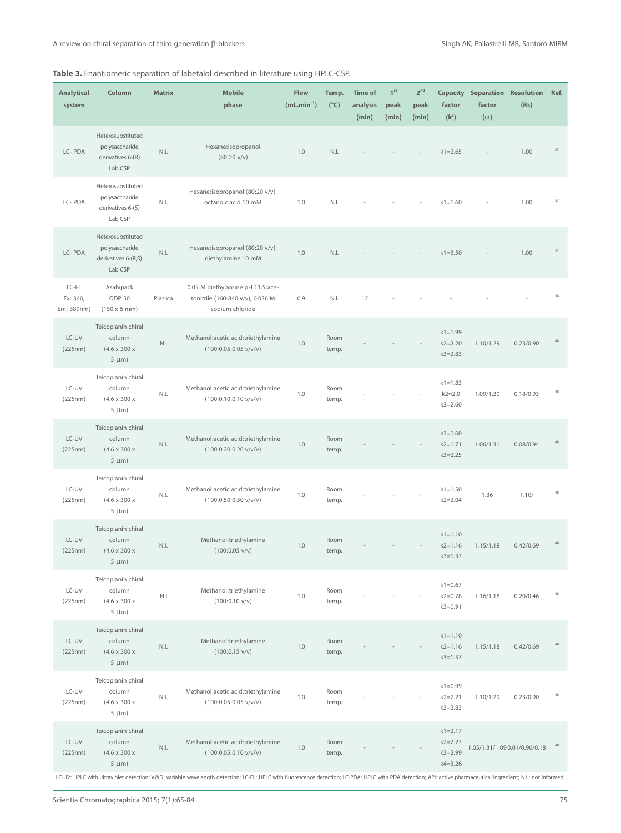| <b>Analytical</b><br>system     | Column                                                                  | <b>Matrix</b> | <b>Mobile</b><br>phase                                                                  | Flow<br>$(mL.min-1)$ | Temp.<br>$(^{\circ}C)$ | <b>Time of</b><br>analysis<br>(min) | 1 <sup>st</sup><br>peak<br>(min) | 2 <sup>nd</sup><br>peak<br>(min) | factor<br>(k')                                           | <b>Capacity Separation Resolution</b><br>factor<br>$(\alpha)$ | (Rs)                          | Ref.   |
|---------------------------------|-------------------------------------------------------------------------|---------------|-----------------------------------------------------------------------------------------|----------------------|------------------------|-------------------------------------|----------------------------------|----------------------------------|----------------------------------------------------------|---------------------------------------------------------------|-------------------------------|--------|
| LC-PDA                          | Heterosubstituted<br>polysaccharide<br>derivatives 6-(R)<br>Lab CSP     | N.I.          | Hexane:isopropanol<br>$(80:20 \text{ v/v})$                                             | 1.0                  | N.I.                   |                                     |                                  |                                  | $k1 = 2.65$                                              |                                                               | 1.00                          | 57     |
| LC-PDA                          | Heterosubstituted<br>polysaccharide<br>derivatives 6-(S)<br>Lab CSP     | N.I.          | Hexane:isopropanol (80:20 v/v),<br>octanoic acid 10 mM                                  | 1.0                  | N.I.                   |                                     |                                  |                                  | $k1 = 1.60$                                              |                                                               | 1.00                          | 57     |
| LC-PDA                          | Heterosubstituted<br>polysaccharide<br>derivatives 6-(R,S)<br>Lab CSP   | N.I.          | Hexane:isopropanol (80:20 v/v),<br>diethylamine 10 mM                                   | 1.0                  | N.I.                   |                                     |                                  |                                  | $k1 = 3.50$                                              |                                                               | 1.00                          | 57     |
| LC-FL<br>Ex: 340,<br>Em: 389nm) | Asahipack<br>ODP 50<br>$(150 \times 6 \text{ mm})$                      | Plasma        | 0.05 M diethylamine pH 11.5:ace-<br>tonitrile (160:840 v/v), 0.036 M<br>sodium chloride | 0.9                  | N.I.                   | 12                                  |                                  |                                  |                                                          |                                                               |                               | 58     |
| LC-UV<br>(225nm)                | Teicoplanin chiral<br>column<br>$(4.6 \times 300 \times$<br>$5 \mu m$ ) | N.I.          | Methanol:acetic acid:triethylamine<br>$(100:0.05:0.05 \text{ v/v/v})$                   | 1.0                  | Room<br>temp.          |                                     |                                  |                                  | $k1 = 1.99$<br>$k2 = 2.20$<br>$k3 = 2.83$                | 1.10/1.29                                                     | 0.23/0.90                     | 48     |
| LC-UV<br>(225nm)                | Teicoplanin chiral<br>column<br>$(4.6 \times 300 \times$<br>$5 \mu m$ ) | N.I.          | Methanol:acetic acid:triethylamine<br>$(100:0.10:0.10 \text{ v/v/v})$                   | 1.0                  | Room<br>temp.          |                                     |                                  |                                  | $k1 = 1.83$<br>$k2 = 2.0$<br>$k3 = 2.60$                 | 1.09/1.30                                                     | 0.18/0.93                     | 48     |
| LC-UV<br>(225nm)                | Teicoplanin chiral<br>column<br>$(4.6 \times 300 \times$<br>$5 \mu m$ ) | N.I.          | Methanol:acetic acid:triethylamine<br>$(100:0.20:0.20 \text{ v/v/v})$                   | $1.0\,$              | Room<br>temp.          |                                     |                                  |                                  | $k1 = 1.60$<br>$k2 = 1.71$<br>$k3 = 2.25$                | 1.06/1.31                                                     | 0.08/0.94                     | 48     |
| LC-UV<br>(225nm)                | Teicoplanin chiral<br>column<br>$(4.6 \times 300 \times$<br>$5 \mu m$ ) | N.I.          | Methanol:acetic acid:triethylamine<br>$(100:0.50:0.50 \text{ v/v/v})$                   | 1.0                  | Room<br>temp.          |                                     |                                  |                                  | $k1 = 1.50$<br>$k2 = 2.04$                               | 1.36                                                          | 1.10/                         | 48     |
| LC-UV<br>(225nm)                | Teicoplanin chiral<br>column<br>$(4.6 \times 300 \times$<br>$5 \mu m$ ) | N.I.          | Methanol:triethylamine<br>$(100:0.05 \text{ v/v})$                                      | 1.0                  | Room<br>temp.          |                                     |                                  |                                  | $k1 = 1.10$<br>$k2 = 1.16$<br>$k3 = 1.37$                | 1.15/1.18                                                     | 0.42/0.69                     | 48     |
| LC-UV<br>(225nm)                | Teicoplanin chiral<br>column<br>$(4.6 \times 300 \times$<br>$5 \mu m$ ) | N.I.          | Methanol:triethylamine<br>$(100:0.10 \text{ v/v})$                                      | 1.0                  | Room<br>temp.          |                                     |                                  |                                  | $k1 = 0.67$<br>$k2 = 0.78$<br>$k3 = 0.91$                | 1.16/1.18                                                     | 0.20/0.46                     | $48\,$ |
| LC-UV<br>(225nm)                | Teicoplanin chiral<br>column<br>$(4.6 \times 300 \times$<br>$5 \mu m$ ) | N.I.          | Methanol:triethylamine<br>$(100:0.15 \text{ v/v})$                                      | $1.0\,$              | Room<br>temp.          |                                     |                                  |                                  | $k1 = 1.10$<br>$k2 = 1.16$<br>$k3 = 1.37$                | 1.15/1.18                                                     | 0.42/0.69                     | 48     |
| LC-UV<br>(225nm)                | Teicoplanin chiral<br>column<br>$(4.6 \times 300 \times$<br>$5 \mu m$ ) | N.I.          | Methanol:acetic acid:triethylamine<br>$(100:0.05:0.05 \text{ v/v/v})$                   | 1.0                  | Room<br>temp.          |                                     |                                  |                                  | $k1 = 0.99$<br>$k2 = 2.21$<br>$k3 = 2.83$                | 1.10/1.29                                                     | 0.23/0.90                     | 48     |
| LC-UV<br>(225nm)                | Teicoplanin chiral<br>column<br>$(4.6 \times 300 \times$<br>$5 \mu m$ ) | N.I.          | Methanol:acetic acid:triethylamine<br>$(100:0.05:0.10 \text{ v/v/v})$                   | $1.0\,$              | Room<br>temp.          |                                     |                                  |                                  | $k1 = 2.17$<br>$k2 = 2.27$<br>$k3 = 2.99$<br>$k4 = 3.26$ |                                                               | 1.05/1.31/1.09 0.01/0.96/0.18 | $48\,$ |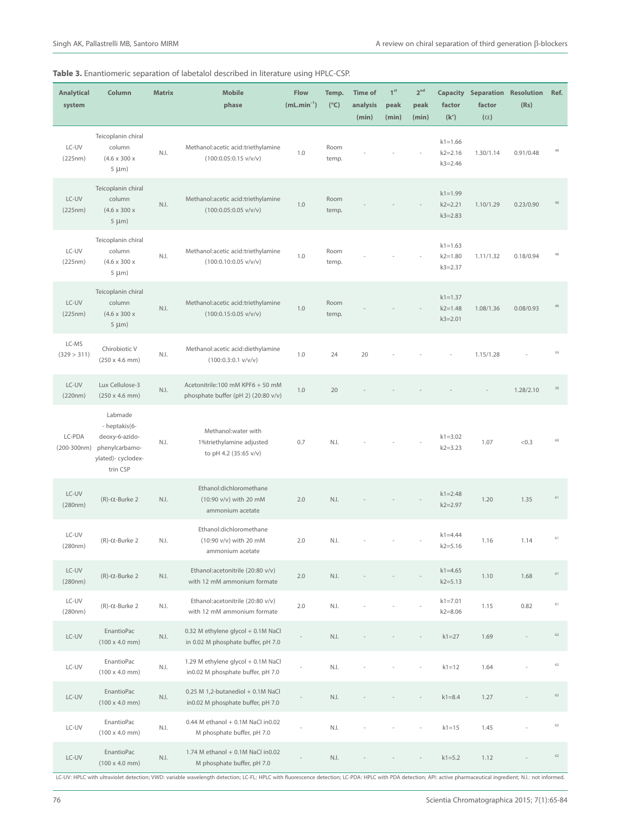| <b>Analytical</b><br>system | Column                                                                                         | <b>Matrix</b>                | <b>Mobile</b><br>phase                                                    | Flow<br>$(mL.min^{-1})$ | Temp.<br>$(^{\circ}C)$ | <b>Time of</b><br>analysis<br>(min) | 1 <sup>st</sup><br>peak<br>(min) | 2 <sup>nd</sup><br>peak<br>(min) | factor<br>(k')                            | <b>Capacity Separation</b><br>factor<br>$(\alpha)$ | <b>Resolution</b><br>(Rs) | Ref.   |
|-----------------------------|------------------------------------------------------------------------------------------------|------------------------------|---------------------------------------------------------------------------|-------------------------|------------------------|-------------------------------------|----------------------------------|----------------------------------|-------------------------------------------|----------------------------------------------------|---------------------------|--------|
| LC-UV<br>(225nm)            | Teicoplanin chiral<br>column<br>$(4.6 \times 300 \times$<br>$5 \mu m$ )                        | N.I.                         | Methanol:acetic acid:triethylamine<br>$(100:0.05:0.15 \text{ v/v/v})$     | 1.0                     | Room<br>temp.          |                                     |                                  |                                  | $k1 = 1.66$<br>$k2 = 2.16$<br>$k3 = 2.46$ | 1.30/1.14                                          | 0.91/0.48                 | 48     |
| LC-UV<br>(225nm)            | Teicoplanin chiral<br>column<br>$(4.6 \times 300 \times$<br>$5 \mu m$ )                        | N.I.                         | Methanol:acetic acid:triethylamine<br>$(100:0.05:0.05 \text{ v/v/v})$     | 1.0                     | Room<br>temp.          |                                     |                                  |                                  | $k1 = 1.99$<br>$k2 = 2.21$<br>$k3 = 2.83$ | 1.10/1.29                                          | 0.23/0.90                 | 48     |
| LC-UV<br>(225nm)            | Teicoplanin chiral<br>column<br>$(4.6 \times 300 \times$<br>$5 \mu m$ )                        | N.I.                         | Methanol:acetic acid:triethylamine<br>$(100:0.10:0.05 \text{ v/v/v})$     | 1.0                     | Room<br>temp.          |                                     |                                  |                                  | $k1 = 1.63$<br>$k2 = 1.80$<br>$k3 = 2.37$ | 1.11/1.32                                          | 0.18/0.94                 | 48     |
| LC-UV<br>(225nm)            | Teicoplanin chiral<br>column<br>$(4.6 \times 300 \times$<br>$5 \mu m$ )                        | N.I.                         | Methanol:acetic acid:triethylamine<br>$(100:0.15:0.05 \text{ v/v/v})$     | 1.0                     | Room<br>temp.          |                                     |                                  |                                  | $k1 = 1.37$<br>$k2 = 1.48$<br>$k3 = 2.01$ | 1.08/1.36                                          | 0.08/0.93                 | 48     |
| LC-MS<br>(329 > 311)        | Chirobiotic V<br>$(250 \times 4.6 \text{ mm})$                                                 | N.I.                         | Methanol:acetic acid:diethylamine<br>$(100:0.3:0.1 \text{ V/V/V})$        | 1.0                     | 24                     | 20                                  |                                  |                                  |                                           | 1.15/1.28                                          |                           | 59     |
| LC-UV<br>(220nm)            | Lux Cellulose-3<br>$(250 \times 4.6 \text{ mm})$                                               | N.I.                         | Acetonitrile:100 mM KPF6 + 50 mM<br>phosphate buffer (pH 2) (20:80 v/v)   | $1.0\,$                 | 20                     |                                     |                                  |                                  |                                           |                                                    | 1.28/2.10                 | 38     |
| LC-PDA<br>$(200-300nm)$     | Labmade<br>- heptakis(6-<br>deoxy-6-azido-<br>phenylcarbamo-<br>ylated)- cyclodex-<br>trin CSP | N.I.                         | Methanol: water with<br>1%triethylamine adjusted<br>to pH 4.2 (35:65 v/v) | 0.7                     | N.I.                   |                                     |                                  |                                  | $k1 = 3.02$<br>$k2 = 3.23$                | 1.07                                               | < 0.3                     | 60     |
| LC-UV<br>(280nm)            | $(R)-C$ -Burke 2                                                                               | N.I.                         | Ethanol:dichloromethane<br>(10:90 v/v) with 20 mM<br>ammonium acetate     | 2.0                     | N.I.                   |                                     |                                  |                                  | $k1 = 2.48$<br>$k2 = 2.97$                | 1.20                                               | 1.35                      | $61\,$ |
| LC-UV<br>(280nm)            | $(R)-C$ -Burke 2                                                                               | N.I.                         | Ethanol:dichloromethane<br>(10:90 v/v) with 20 mM<br>ammonium acetate     | 2.0                     | N.I.                   |                                     |                                  |                                  | $k1 = 4.44$<br>$k2 = 5.16$                | 1.16                                               | 1.14                      | 61     |
| LC-UV<br>(280nm)            | $(R)-\alpha$ -Burke 2                                                                          | N.I.                         | Ethanol:acetonitrile (20:80 v/v)<br>with 12 mM ammonium formate           | 2.0                     | N.I.                   |                                     |                                  |                                  | $k1 = 4.65$<br>$k2 = 5.13$                | 1.10                                               | 1.68                      | 61     |
| LC-UV<br>(280nm)            | $(R)-\alpha$ -Burke 2                                                                          | N.I.                         | Ethanol:acetonitrile (20:80 v/v)<br>with 12 mM ammonium formate           | 2.0                     | N.I.                   |                                     |                                  |                                  | $k1 = 7.01$<br>$k2 = 8.06$                | 1.15                                               | 0.82                      | 61     |
| $LC-UV$                     | EnantioPac<br>$(100 \times 4.0 \text{ mm})$                                                    | $\mathbb{N}$ . $\mathbb{I}.$ | 0.32 M ethylene glycol + 0.1M NaCl<br>in 0.02 M phosphate buffer, pH 7.0  |                         | N.I.                   |                                     |                                  |                                  | $k1 = 27$                                 | 1.69                                               |                           | 62     |
| LC-UV                       | EnantioPac<br>$(100 \times 4.0 \text{ mm})$                                                    | N.I.                         | 1.29 M ethylene glycol + 0.1M NaCl<br>in0.02 M phosphate buffer, pH 7.0   |                         | N.I.                   |                                     |                                  |                                  | $k1 = 12$                                 | 1.64                                               |                           | 62     |
| LC-UV                       | EnantioPac<br>$(100 \times 4.0 \text{ mm})$                                                    | N.I.                         | 0.25 M 1,2-butanediol + 0.1M NaCl<br>in0.02 M phosphate buffer, pH 7.0    |                         | N.I.                   |                                     |                                  |                                  | $k1 = 8.4$                                | 1.27                                               |                           | 62     |
| LC-UV                       | EnantioPac<br>$(100 \times 4.0 \text{ mm})$                                                    | N.I.                         | 0.44 M ethanol + 0.1M NaCl in0.02<br>M phosphate buffer, pH 7.0           |                         | N.I.                   |                                     |                                  |                                  | $k1 = 15$                                 | 1.45                                               |                           | 62     |
| LC-UV                       | EnantioPac<br>$(100 \times 4.0 \text{ mm})$                                                    | N.I.                         | 1.74 M ethanol + 0.1M NaCl in0.02<br>M phosphate buffer, pH 7.0           |                         | N.I.                   |                                     |                                  |                                  | $k1 = 5.2$                                | 1.12                                               |                           | $62\,$ |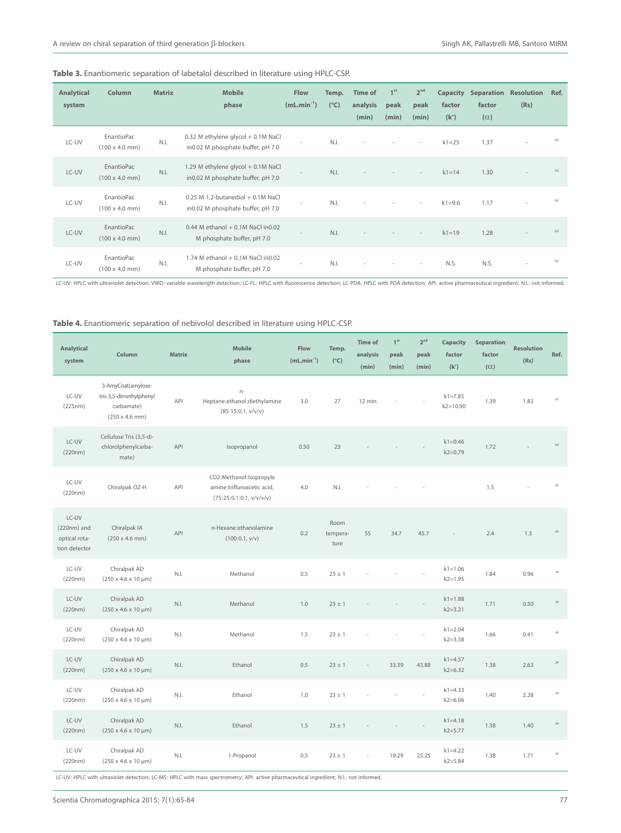|  | Table 3. Enantiomeric separation of labetalol described in literature using HPLC-CSP. |  |  |  |  |  |  |  |  |  |
|--|---------------------------------------------------------------------------------------|--|--|--|--|--|--|--|--|--|
|--|---------------------------------------------------------------------------------------|--|--|--|--|--|--|--|--|--|

| <b>Analytical</b><br>system | Column                                      | <b>Matrix</b> | <b>Mobile</b><br>phase                                                   | <b>Flow</b><br>$(mL.min^{-1})$ | Temp.<br>$(^{\circ}C)$ | <b>Time of</b><br>analysis<br>(min) | 1 <sup>st</sup><br>peak<br>(min) | 2 <sup>nd</sup><br>peak<br>(min) | <b>Capacity</b><br>factor<br>(k') | <b>Separation</b><br>factor<br>$(\alpha)$ | <b>Resolution</b><br>(Rs) | Ref. |
|-----------------------------|---------------------------------------------|---------------|--------------------------------------------------------------------------|--------------------------------|------------------------|-------------------------------------|----------------------------------|----------------------------------|-----------------------------------|-------------------------------------------|---------------------------|------|
| LC-UV                       | EnantioPac<br>$(100 \times 4.0 \text{ mm})$ | N.I.          | 0.32 M ethylene glycol + 0.1M NaCl<br>in0.02 M phosphate buffer, pH 7.0  | $\sim$                         | N.I.                   | $\sim$                              | $\sim$                           | $\sim$                           | $k1 = 25$                         | 1.37                                      | ٠                         | 62   |
| LC-UV                       | EnantioPac<br>$(100 \times 4.0 \text{ mm})$ | N.I.          | 1.29 M ethylene glycol + 0.1M NaCl<br>in0.02 M phosphate buffer, pH 7.0  | $\sim$                         | N.I.                   |                                     |                                  | $\overline{\phantom{a}}$         | $k1 = 14$                         | 1.30                                      |                           | 62   |
| LC-UV                       | EnantioPac<br>$(100 \times 4.0 \text{ mm})$ | N.I.          | $0.25$ M 1,2-butanediol + 0.1M NaCl<br>in0.02 M phosphate buffer, pH 7.0 | $\sim$                         | N.I.                   |                                     |                                  | $\sim$                           | $k1 = 9.6$                        | 1.17                                      |                           | 62   |
| LC-UV                       | EnantioPac<br>$(100 \times 4.0 \text{ mm})$ | N.I.          | 0.44 M ethanol + 0.1M NaCl in 0.02<br>M phosphate buffer, pH 7.0         | $\overline{\phantom{a}}$       | N.I.                   |                                     |                                  | $\overline{\phantom{a}}$         | $k1 = 19$                         | 1.28                                      |                           | 62   |
| LC-UV                       | EnantioPac<br>$(100 \times 4.0 \text{ mm})$ | N.I.          | 1.74 M ethanol + 0.1M NaCl in0.02<br>M phosphate buffer, pH 7.0          | $\sim$                         | N.I.                   |                                     |                                  | $\sim$                           | N.S.                              | N.S.                                      | $\overline{\phantom{a}}$  | 62   |

LC-UV: HPLC with ultraviolet detection; VWD: variable wavelength detection; LC-FL: HPLC with fluorescence detection; LC-PDA: HPLC with PDA detection; API: active pharmaceutical ingredient; N.I.: not informed.

## **Table 4.** Enantiomeric separation of nebivolol described in literature using HPLC-CSP.

| <b>Analytical</b><br>system                              | Column                                                                                       | <b>Matrix</b> | <b>Mobile</b><br>phase                                                            | Flow<br>$(mL.min^{-1})$ | Temp.<br>$(^{\circ}C)$   | <b>Time of</b><br>analysis<br>(min) | 1 <sup>st</sup><br>peak<br>(min) | 2 <sup>nd</sup><br>peak<br>(min) | Capacity<br>factor<br>(k')  | Separation<br>factor<br>$(\alpha)$ | <b>Resolution</b><br>(Rs) | Ref.   |
|----------------------------------------------------------|----------------------------------------------------------------------------------------------|---------------|-----------------------------------------------------------------------------------|-------------------------|--------------------------|-------------------------------------|----------------------------------|----------------------------------|-----------------------------|------------------------------------|---------------------------|--------|
| LC-UV<br>(225nm)                                         | 3-AmyCoat(amylose-<br>tris-3,5-dimethylphenyl<br>carbamate)<br>$(250 \times 4.6 \text{ mm})$ | API           | $n-$<br>Heptane:ethanol:diethylamine<br>(85:15:0.1, v/v/v)                        | 3.0                     | 27                       | 12 min                              |                                  |                                  | $k1 = 7.85$<br>$k2 = 10.90$ | 1.39                               | 1.83                      | 63     |
| LC-UV<br>(220nm)                                         | Cellulose Tris (3,5-di-<br>chlorolphenylcarba-<br>mate)                                      | API           | Isopropanol                                                                       | 0.50                    | 23                       |                                     |                                  |                                  | $k1 = 0.46$<br>$k2 = 0.79$  | 1.72                               |                           | 64     |
| LC-UV<br>(220nm)                                         | Chiralpak OZ-H                                                                               | API           | CO2:Methanol:Isopropyle<br>amine:trifluroacetic acid,<br>(75:25:0.1:0.1, v/v/v/v) | 4.0                     | N.I.                     |                                     |                                  |                                  |                             | 1.5                                |                           | 65     |
| LC-UV<br>$(220nm)$ and<br>optical rota-<br>tion detector | Chiralpak IA<br>$(250 \times 4.6 \text{ mm})$                                                | API           | n-Hexane:ethanolamine<br>(100:0.1, v/v)                                           | 0.2                     | Room<br>tempera-<br>ture | 55                                  | 34.7                             | 45.7                             |                             | 2.4                                | 1.3                       | 66     |
| LC-UV<br>(220nm)                                         | Chiralpak AD<br>$(250 \times 4.6 \times 10 \mu m)$                                           | N.I.          | Methanol                                                                          | 0.5                     | $23 \pm 1$               |                                     |                                  |                                  | $k1 = 1.06$<br>$k2 = 1.95$  | 1.84                               | 0.96                      | 24     |
| LC-UV<br>(220nm)                                         | Chiralpak AD<br>$(250 \times 4.6 \times 10 \mu m)$                                           | N.I.          | Methanol                                                                          | 1.0                     | $23 \pm 1$               |                                     |                                  |                                  | $k1 = 1.88$<br>$k2 = 3.21$  | 1.71                               | 0.50                      | 24     |
| LC-UV<br>(220nm)                                         | Chiralpak AD<br>$(250 \times 4.6 \times 10 \mu m)$                                           | N.I.          | Methanol                                                                          | 1.5                     | $23 \pm 1$               |                                     |                                  |                                  | $k1 = 2.04$<br>$k2 = 3.38$  | 1.66                               | 0.41                      | $24\,$ |
| LC-UV<br>(220nm)                                         | Chiralpak AD<br>$(250 \times 4.6 \times 10 \mu m)$                                           | N.I.          | Ethanol                                                                           | 0.5                     | $23 \pm 1$               |                                     | 33.39                            | 43.88                            | $k1 = 4.57$<br>$k2 = 6.32$  | 1.38                               | 2.63                      | $24\,$ |
| LC-UV<br>(220nm)                                         | Chiralpak AD<br>$(250 \times 4.6 \times 10 \mu m)$                                           | N.I.          | Ethanol                                                                           | 1.0                     | $23 \pm 1$               |                                     |                                  |                                  | $k1 = 4.33$<br>$k2 = 6.06$  | 1.40                               | 2.28                      | 24     |
| LC-UV<br>(220nm)                                         | Chiralpak AD<br>$(250 \times 4.6 \times 10 \mu m)$                                           | N.I.          | Ethanol                                                                           | 1.5                     | $23 \pm 1$               |                                     |                                  |                                  | $k1 = 4.18$<br>$k2 = 5.77$  | 1.38                               | 1.40                      | 24     |
| LC-UV<br>(220nm)                                         | Chiralpak AD<br>$(250 \times 4.6 \times 10 \mu m)$                                           | N.I.          | 1-Propanol                                                                        | 0.5                     | $23 \pm 1$               |                                     | 19.29                            | 25.25                            | $k1 = 4.22$<br>$k2 = 5.84$  | 1.38                               | 1.71                      | 24     |

LC-UV: HPLC with ultraviolet detection; LC-MS: HPLC with mass spectrometry; API: active pharmaceutical ingredient; N.I.: not informed.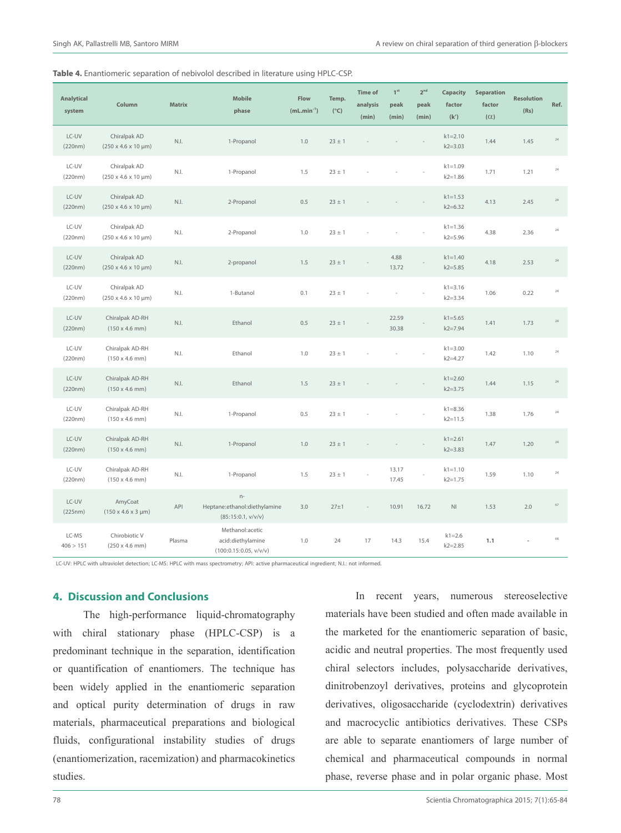|  | Table 4. Enantiomeric separation of nebivolol described in literature using HPLC-CSP. |  |  |  |  |
|--|---------------------------------------------------------------------------------------|--|--|--|--|
|--|---------------------------------------------------------------------------------------|--|--|--|--|

| Analytical<br>system | Column                                             | <b>Matrix</b>  | <b>Mobile</b><br>phase                                         | Flow<br>$(mL.min^{-1})$ | Temp.<br>$(^{\circ}C)$ | <b>Time of</b><br>analysis<br>(min) | $1^{\rm st}$<br>peak<br>(min) | $2^{\rm nd}$<br>peak<br>(min) | Capacity<br>factor<br>(k') | Separation<br>factor<br>$(\alpha)$ | <b>Resolution</b><br>(Rs) | Ref.        |
|----------------------|----------------------------------------------------|----------------|----------------------------------------------------------------|-------------------------|------------------------|-------------------------------------|-------------------------------|-------------------------------|----------------------------|------------------------------------|---------------------------|-------------|
| LC-UV<br>(220nm)     | Chiralpak AD<br>$(250 \times 4.6 \times 10 \mu m)$ | N.I.           | 1-Propanol                                                     | 1.0                     | $23 \pm 1$             |                                     |                               |                               | $k1 = 2.10$<br>$k2 = 3.03$ | 1.44                               | 1.45                      | $24\,$      |
| LC-UV<br>(220nm)     | Chiralpak AD<br>$(250 \times 4.6 \times 10 \mu m)$ | N.I.           | 1-Propanol                                                     | 1.5                     | $23 \pm 1$             |                                     |                               |                               | $k1 = 1.09$<br>$k2 = 1.86$ | 1.71                               | 1.21                      | $24\,$      |
| LC-UV<br>(220nm)     | Chiralpak AD<br>$(250 \times 4.6 \times 10 \mu m)$ | N.I.           | 2-Propanol                                                     | 0.5                     | $23 \pm 1$             |                                     |                               |                               | $k1 = 1.53$<br>$k2 = 6.32$ | 4.13                               | 2.45                      | $24\,$      |
| LC-UV<br>(220nm)     | Chiralpak AD<br>$(250 \times 4.6 \times 10 \mu m)$ | N.I.           | 2-Propanol                                                     | 1.0                     | $23 \pm 1$             |                                     |                               |                               | $k1 = 1.36$<br>$k2 = 5.96$ | 4.38                               | 2.36                      | $\sqrt{24}$ |
| LC-UV<br>(220nm)     | Chiralpak AD<br>$(250 \times 4.6 \times 10 \mu m)$ | $\mathbb{N}$ . | 2-propanol                                                     | 1.5                     | $23 \pm 1$             |                                     | 4.88<br>13.72                 |                               | $k1 = 1.40$<br>$k2 = 5.85$ | 4.18                               | 2.53                      | 24          |
| LC-UV<br>(220nm)     | Chiralpak AD<br>$(250 \times 4.6 \times 10 \mu m)$ | N.I.           | 1-Butanol                                                      | 0.1                     | $23 \pm 1$             |                                     |                               |                               | $k1 = 3.16$<br>$k2 = 3.34$ | 1.06                               | 0.22                      | $24\,$      |
| LC-UV<br>(220nm)     | Chiralpak AD-RH<br>$(150 \times 4.6 \text{ mm})$   | N.I.           | Ethanol                                                        | 0.5                     | $23 \pm 1$             |                                     | 22.59<br>30.38                |                               | $k1 = 5.65$<br>$k2 = 7.94$ | 1.41                               | 1.73                      | $24\,$      |
| LC-UV<br>(220nm)     | Chiralpak AD-RH<br>$(150 \times 4.6 \text{ mm})$   | N.I.           | Ethanol                                                        | 1.0                     | $23 \pm 1$             |                                     |                               |                               | $k1 = 3.00$<br>$k2 = 4.27$ | 1.42                               | 1.10                      | 24          |
| LC-UV<br>(220nm)     | Chiralpak AD-RH<br>$(150 \times 4.6 \text{ mm})$   | N.I.           | Ethanol                                                        | 1.5                     | $23 \pm 1$             |                                     |                               |                               | $k1 = 2.60$<br>$k2 = 3.75$ | 1.44                               | 1.15                      | $24\,$      |
| LC-UV<br>(220nm)     | Chiralpak AD-RH<br>$(150 \times 4.6 \text{ mm})$   | N.I.           | 1-Propanol                                                     | 0.5                     | $23 \pm 1$             |                                     |                               |                               | $k1 = 8.36$<br>$k2 = 11.5$ | 1.38                               | 1.76                      | $24\,$      |
| LC-UV<br>(220nm)     | Chiralpak AD-RH<br>$(150 \times 4.6 \text{ mm})$   | N.I.           | 1-Propanol                                                     | 1.0                     | $23 \pm 1$             |                                     |                               |                               | $k1 = 2.61$<br>$k2 = 3.83$ | 1.47                               | 1.20                      | $24\,$      |
| LC-UV<br>(220nm)     | Chiralpak AD-RH<br>$(150 \times 4.6 \text{ mm})$   | N.I.           | 1-Propanol                                                     | 1.5                     | $23 \pm 1$             |                                     | 13.17<br>17.45                |                               | $k1 = 1.10$<br>$k2 = 1.75$ | 1.59                               | 1.10                      | $24\,$      |
| LC-UV<br>(225nm)     | AmyCoat<br>$(150 \times 4.6 \times 3 \text{ µm})$  | API            | $n-$<br>Heptane:ethanol:diethylamine<br>(85:15:0.1, v/v/v)     | 3.0                     | $27 + 1$               |                                     | 10.91                         | 16.72                         | $\mathsf{N}\mathsf{I}$     | 1.53                               | $2.0\,$                   | 67          |
| LC-MS<br>406 > 151   | Chirobiotic V<br>$(250 \times 4.6 \text{ mm})$     | Plasma         | Methanol:acetic<br>acid:diethylamine<br>(100:0.15:0.05, v/v/v) | 1.0                     | 24                     | 17                                  | 14.3                          | 15.4                          | $k1 = 2.6$<br>$k2 = 2.85$  | 1.1                                |                           | 68          |

LC-UV: HPLC with ultraviolet detection; LC-MS: HPLC with mass spectrometry; API: active pharmaceutical ingredient; N.I.: not informed.

# **4. Discussion and Conclusions**

The high-performance liquid-chromatography with chiral stationary phase (HPLC-CSP) is a predominant technique in the separation, identification or quantification of enantiomers. The technique has been widely applied in the enantiomeric separation and optical purity determination of drugs in raw materials, pharmaceutical preparations and biological fluids, configurational instability studies of drugs (enantiomerization, racemization) and pharmacokinetics studies.

In recent years, numerous stereoselective materials have been studied and often made available in the marketed for the enantiomeric separation of basic, acidic and neutral properties. The most frequently used chiral selectors includes, polysaccharide derivatives, dinitrobenzoyl derivatives, proteins and glycoprotein derivatives, oligosaccharide (cyclodextrin) derivatives and macrocyclic antibiotics derivatives. These CSPs are able to separate enantiomers of large number of chemical and pharmaceutical compounds in normal phase, reverse phase and in polar organic phase. Most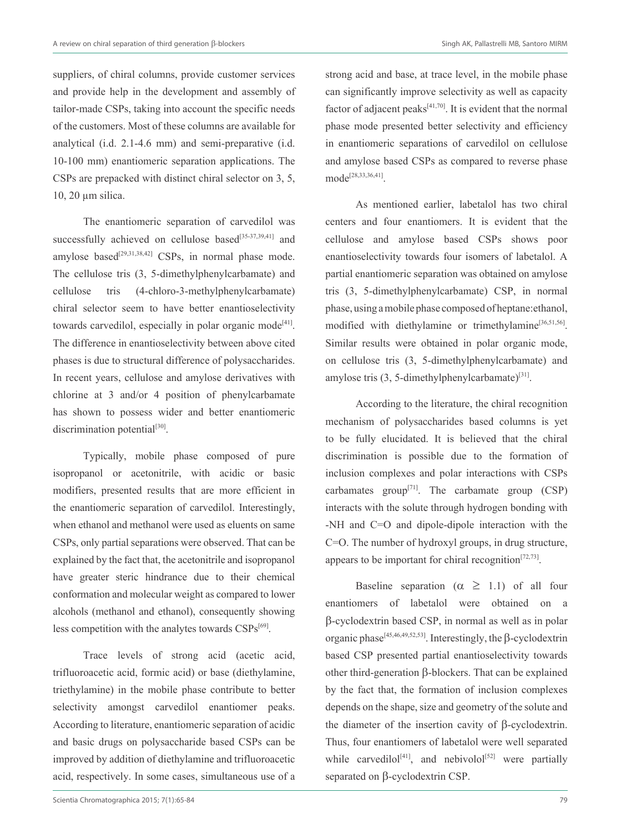suppliers, of chiral columns, provide customer services and provide help in the development and assembly of tailor-made CSPs, taking into account the specific needs of the customers. Most of these columns are available for analytical (i.d. 2.1-4.6 mm) and semi-preparative (i.d. 10-100 mm) enantiomeric separation applications. The CSPs are prepacked with distinct chiral selector on 3, 5, 10, 20 µm silica.

The enantiomeric separation of carvedilol was successfully achieved on cellulose based<sup>[35-37,39,41]</sup> and amylose based<sup>[29,31,38,42]</sup> CSPs, in normal phase mode. The cellulose tris (3, 5-dimethylphenylcarbamate) and cellulose tris (4-chloro-3-methylphenylcarbamate) chiral selector seem to have better enantioselectivity towards carvedilol, especially in polar organic mode<sup>[41]</sup>. The difference in enantioselectivity between above cited phases is due to structural difference of polysaccharides. In recent years, cellulose and amylose derivatives with chlorine at 3 and/or 4 position of phenylcarbamate has shown to possess wider and better enantiomeric discrimination potential $[30]$ .

Typically, mobile phase composed of pure isopropanol or acetonitrile, with acidic or basic modifiers, presented results that are more efficient in the enantiomeric separation of carvedilol. Interestingly, when ethanol and methanol were used as eluents on same CSPs, only partial separations were observed. That can be explained by the fact that, the acetonitrile and isopropanol have greater steric hindrance due to their chemical conformation and molecular weight as compared to lower alcohols (methanol and ethanol), consequently showing less competition with the analytes towards  $CSPs^{[69]}$ .

Trace levels of strong acid (acetic acid, trifluoroacetic acid, formic acid) or base (diethylamine, triethylamine) in the mobile phase contribute to better selectivity amongst carvedilol enantiomer peaks. According to literature, enantiomeric separation of acidic and basic drugs on polysaccharide based CSPs can be improved by addition of diethylamine and trifluoroacetic acid, respectively. In some cases, simultaneous use of a strong acid and base, at trace level, in the mobile phase can significantly improve selectivity as well as capacity factor of adjacent peaks $[41,70]$ . It is evident that the normal phase mode presented better selectivity and efficiency in enantiomeric separations of carvedilol on cellulose and amylose based CSPs as compared to reverse phase mode[28,33,36,41].

As mentioned earlier, labetalol has two chiral centers and four enantiomers. It is evident that the cellulose and amylose based CSPs shows poor enantioselectivity towards four isomers of labetalol. A partial enantiomeric separation was obtained on amylose tris (3, 5-dimethylphenylcarbamate) CSP, in normal phase, using a mobile phase composed of heptane:ethanol, modified with diethylamine or trimethylamine<sup>[36,51,56]</sup>. Similar results were obtained in polar organic mode, on cellulose tris (3, 5-dimethylphenylcarbamate) and amylose tris  $(3, 5$ -dimethylphenylcarbamate)<sup>[31]</sup>.

According to the literature, the chiral recognition mechanism of polysaccharides based columns is yet to be fully elucidated. It is believed that the chiral discrimination is possible due to the formation of inclusion complexes and polar interactions with CSPs carbamates group<sup>[71]</sup>. The carbamate group  $(CSP)$ interacts with the solute through hydrogen bonding with -NH and C=O and dipole-dipole interaction with the C=O. The number of hydroxyl groups, in drug structure, appears to be important for chiral recognition<sup> $[72,73]$ </sup>.

Baseline separation ( $\alpha \geq 1.1$ ) of all four enantiomers of labetalol were obtained on a β-cyclodextrin based CSP, in normal as well as in polar organic phase<sup>[45,46,49,52,53]</sup>. Interestingly, the  $\beta$ -cyclodextrin based CSP presented partial enantioselectivity towards other third-generation β-blockers. That can be explained by the fact that, the formation of inclusion complexes depends on the shape, size and geometry of the solute and the diameter of the insertion cavity of β-cyclodextrin. Thus, four enantiomers of labetalol were well separated while carvedilol<sup>[41]</sup>, and nebivolol<sup>[52]</sup> were partially separated on β-cyclodextrin CSP.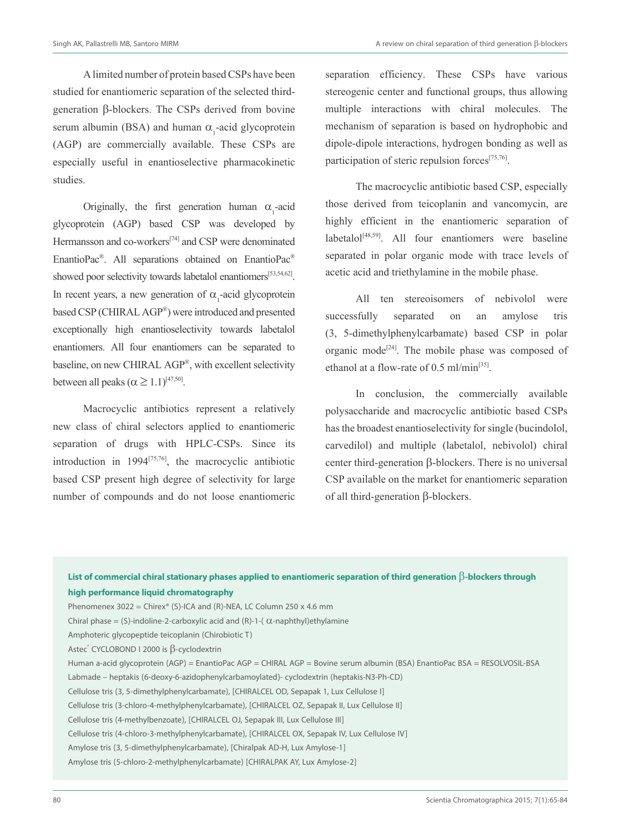A limited number of protein based CSPs have been studied for enantiomeric separation of the selected thirdgeneration β-blockers. The CSPs derived from bovine serum albumin (BSA) and human  $\alpha_1$ -acid glycoprotein (AGP) are commercially available. These CSPs are especially useful in enantioselective pharmacokinetic studies.

Originally, the first generation human  $\alpha_1$ -acid glycoprotein (AGP) based CSP was developed by Hermansson and co-workers<sup>[74]</sup> and CSP were denominated EnantioPac®. All separations obtained on EnantioPac® showed poor selectivity towards labetalol enantiomers<sup>[53,54,62]</sup>. In recent years, a new generation of  $\alpha_1$ -acid glycoprotein based CSP (CHIRAL AGP®) were introduced and presented exceptionally high enantioselectivity towards labetalol enantiomers. All four enantiomers can be separated to baseline, on new CHIRAL AGP®, with excellent selectivity between all peaks ( $\alpha \geq 1.1$ )<sup>[47,50]</sup>.

Macrocyclic antibiotics represent a relatively new class of chiral selectors applied to enantiomeric separation of drugs with HPLC-CSPs. Since its introduction in  $1994^{[75,76]}$ , the macrocyclic antibiotic based CSP present high degree of selectivity for large number of compounds and do not loose enantiomeric

separation efficiency. These CSPs have various stereogenic center and functional groups, thus allowing multiple interactions with chiral molecules. The mechanism of separation is based on hydrophobic and dipole-dipole interactions, hydrogen bonding as well as participation of steric repulsion forces<sup>[75,76]</sup>.

The macrocyclic antibiotic based CSP, especially those derived from teicoplanin and vancomycin, are highly efficient in the enantiomeric separation of  $labelal<sup>[48,59]</sup>$ . All four enantiomers were baseline separated in polar organic mode with trace levels of acetic acid and triethylamine in the mobile phase.

All ten stereoisomers of nebivolol were successfully separated on an amylose tris (3, 5-dimethylphenylcarbamate) based CSP in polar organic mode<sup>[24]</sup>. The mobile phase was composed of ethanol at a flow-rate of  $0.5$  ml/min<sup>[35]</sup>.

In conclusion, the commercially available polysaccharide and macrocyclic antibiotic based CSPs has the broadest enantioselectivity for single (bucindolol, carvedilol) and multiple (labetalol, nebivolol) chiral center third-generation β-blockers. There is no universal CSP available on the market for enantiomeric separation of all third-generation β-blockers.

# **List of commercial chiral stationary phases applied to enantiomeric separation of third generation** β**-blockers through high performance liquid chromatography** Phenomenex  $3022 =$  Chirex® (S)-ICA and (R)-NEA, LC Column 250 x 4.6 mm Chiral phase = (S)-indoline-2-carboxylic acid and (R)-1-( $\alpha$ -naphthyl)ethylamine Amphoteric glycopeptide teicoplanin (Chirobiotic T) Astec<sup>®</sup> CYCLOBOND I 2000 is β-cyclodextrin Human a-acid glycoprotein (AGP) = EnantioPac AGP = CHIRAL AGP = Bovine serum albumin (BSA) EnantioPac BSA = RESOLVOSIL-BSA Labmade – heptakis (6-deoxy-6-azidophenylcarbamoylated)- cyclodextrin (heptakis-N3-Ph-CD) Cellulose tris (3, 5-dimethylphenylcarbamate), [CHIRALCEL OD, Sepapak 1, Lux Cellulose I] Cellulose tris (3-chloro-4-methylphenylcarbamate), [CHIRALCEL OZ, Sepapak II, Lux Cellulose II] Cellulose tris (4-methylbenzoate), [CHIRALCEL OJ, Sepapak III, Lux Cellulose III] Cellulose tris (4-chloro-3-methylphenylcarbamate), [CHIRALCEL OX, Sepapak IV, Lux Cellulose IV] Amylose tris (3, 5-dimethylphenylcarbamate), [Chiralpak AD-H, Lux Amylose-1] Amylose tris (5-chloro-2-methylphenylcarbamate) [CHIRALPAK AY, Lux Amylose-2]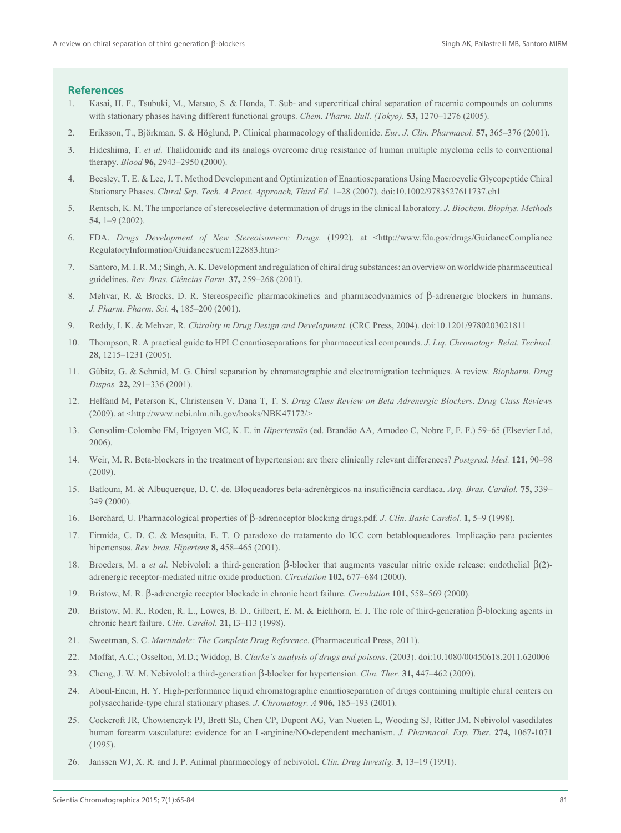#### **References**

- 1. Kasai, H. F., Tsubuki, M., Matsuo, S. & Honda, T. Sub- and supercritical chiral separation of racemic compounds on columns with stationary phases having different functional groups. *Chem. Pharm. Bull. (Tokyo).* **53,** 1270–1276 (2005).
- 2. Eriksson, T., Björkman, S. & Höglund, P. Clinical pharmacology of thalidomide. *Eur. J. Clin. Pharmacol.* **57,** 365–376 (2001).
- 3. Hideshima, T. *et al.* Thalidomide and its analogs overcome drug resistance of human multiple myeloma cells to conventional therapy. *Blood* **96,** 2943–2950 (2000).
- 4. Beesley, T. E. & Lee, J. T. Method Development and Optimization of Enantioseparations Using Macrocyclic Glycopeptide Chiral Stationary Phases. *Chiral Sep. Tech. A Pract. Approach, Third Ed.* 1–28 (2007). doi:10.1002/9783527611737.ch1
- 5. Rentsch, K. M. The importance of stereoselective determination of drugs in the clinical laboratory. *J. Biochem. Biophys. Methods* **54,** 1–9 (2002).
- 6. FDA. *Drugs Development of New Stereoisomeric Drugs*. (1992). at <http://www.fda.gov/drugs/GuidanceCompliance RegulatoryInformation/Guidances/ucm122883.htm>
- 7. Santoro, M. I. R. M.; Singh, A. K. Development and regulation of chiral drug substances: an overview on worldwide pharmaceutical guidelines. *Rev. Bras. Ciências Farm.* **37,** 259–268 (2001).
- 8. Mehvar, R. & Brocks, D. R. Stereospecific pharmacokinetics and pharmacodynamics of β-adrenergic blockers in humans. *J. Pharm. Pharm. Sci.* **4,** 185–200 (2001).
- 9. Reddy, I. K. & Mehvar, R. *Chirality in Drug Design and Development*. (CRC Press, 2004). doi:10.1201/9780203021811
- 10. Thompson, R. A practical guide to HPLC enantioseparations for pharmaceutical compounds. *J. Liq. Chromatogr. Relat. Technol.* **28,** 1215–1231 (2005).
- 11. Gübitz, G. & Schmid, M. G. Chiral separation by chromatographic and electromigration techniques. A review. *Biopharm. Drug Dispos.* **22,** 291–336 (2001).
- 12. Helfand M, Peterson K, Christensen V, Dana T, T. S. *Drug Class Review on Beta Adrenergic Blockers*. *Drug Class Reviews* (2009). at  $\langle \text{http://www.ncbi.nlm.nih.gov/books/NBK47172/>})$
- 13. Consolim-Colombo FM, Irigoyen MC, K. E. in *Hipertensão* (ed. Brandão AA, Amodeo C, Nobre F, F. F.) 59–65 (Elsevier Ltd, 2006).
- 14. Weir, M. R. Beta-blockers in the treatment of hypertension: are there clinically relevant differences? *Postgrad. Med.* **121,** 90–98 (2009).
- 15. Batlouni, M. & Albuquerque, D. C. de. Bloqueadores beta-adrenérgicos na insuficiência cardíaca. *Arq. Bras. Cardiol.* **75,** 339– 349 (2000).
- 16. Borchard, U. Pharmacological properties of β-adrenoceptor blocking drugs.pdf. *J. Clin. Basic Cardiol.* **1,** 5–9 (1998).
- 17. Firmida, C. D. C. & Mesquita, E. T. O paradoxo do tratamento do ICC com betabloqueadores. Implicaçäo para pacientes hipertensos. *Rev. bras. Hipertens* **8,** 458–465 (2001).
- 18. Broeders, M. a *et al.* Nebivolol: a third-generation β-blocker that augments vascular nitric oxide release: endothelial β(2) adrenergic receptor-mediated nitric oxide production. *Circulation* **102,** 677–684 (2000).
- 19. Bristow, M. R. β-adrenergic receptor blockade in chronic heart failure. *Circulation* **101,** 558–569 (2000).
- 20. Bristow, M. R., Roden, R. L., Lowes, B. D., Gilbert, E. M. & Eichhorn, E. J. The role of third-generation β-blocking agents in chronic heart failure. *Clin. Cardiol.* **21,** I3–I13 (1998).
- 21. Sweetman, S. C. *Martindale: The Complete Drug Reference*. (Pharmaceutical Press, 2011).
- 22. Moffat, A.C.; Osselton, M.D.; Widdop, B. *Clarke's analysis of drugs and poisons*. (2003). doi:10.1080/00450618.2011.620006
- 23. Cheng, J. W. M. Nebivolol: a third-generation β-blocker for hypertension. *Clin. Ther.* **31,** 447–462 (2009).
- 24. Aboul-Enein, H. Y. High-performance liquid chromatographic enantioseparation of drugs containing multiple chiral centers on polysaccharide-type chiral stationary phases. *J. Chromatogr. A* **906,** 185–193 (2001).
- 25. Cockcroft JR, Chowienczyk PJ, Brett SE, Chen CP, Dupont AG, Van Nueten L, Wooding SJ, Ritter JM. Nebivolol vasodilates human forearm vasculature: evidence for an L-arginine/NO-dependent mechanism. *J. Pharmacol. Exp. Ther.* **274,** 1067-1071 (1995).
- 26. Janssen WJ, X. R. and J. P. Animal pharmacology of nebivolol. *Clin. Drug Investig.* **3,** 13–19 (1991).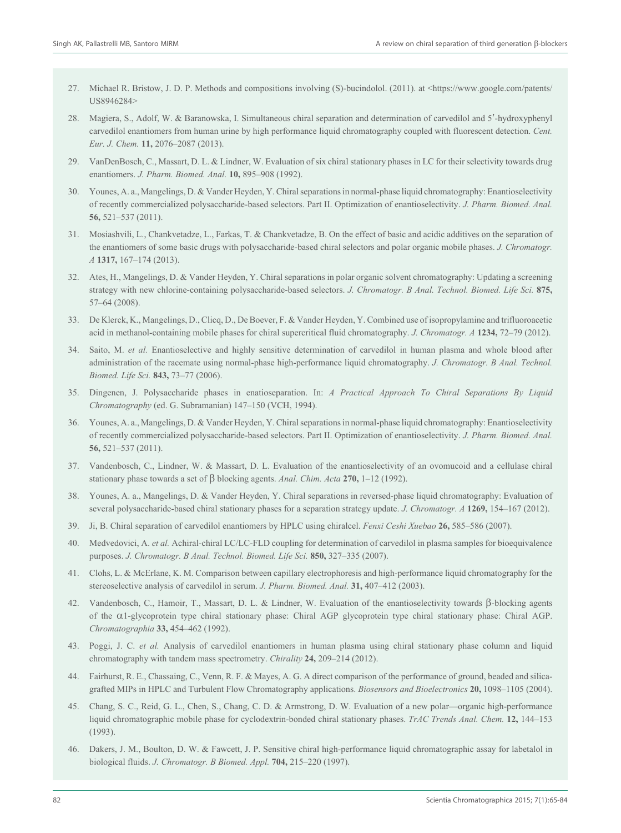- 27. Michael R. Bristow, J. D. P. Methods and compositions involving (S)-bucindolol. (2011). at <https://www.google.com/patents/ US8946284>
- 28. Magiera, S., Adolf, W. & Baranowska, I. Simultaneous chiral separation and determination of carvedilol and 5′-hydroxyphenyl carvedilol enantiomers from human urine by high performance liquid chromatography coupled with fluorescent detection. *Cent. Eur. J. Chem.* **11,** 2076–2087 (2013).
- 29. VanDenBosch, C., Massart, D. L. & Lindner, W. Evaluation of six chiral stationary phases in LC for their selectivity towards drug enantiomers. *J. Pharm. Biomed. Anal.* **10,** 895–908 (1992).
- 30. Younes, A. a., Mangelings, D. & Vander Heyden, Y. Chiral separations in normal-phase liquid chromatography: Enantioselectivity of recently commercialized polysaccharide-based selectors. Part II. Optimization of enantioselectivity. *J. Pharm. Biomed. Anal.* **56,** 521–537 (2011).
- 31. Mosiashvili, L., Chankvetadze, L., Farkas, T. & Chankvetadze, B. On the effect of basic and acidic additives on the separation of the enantiomers of some basic drugs with polysaccharide-based chiral selectors and polar organic mobile phases. *J. Chromatogr. A* **1317,** 167–174 (2013).
- 32. Ates, H., Mangelings, D. & Vander Heyden, Y. Chiral separations in polar organic solvent chromatography: Updating a screening strategy with new chlorine-containing polysaccharide-based selectors. *J. Chromatogr. B Anal. Technol. Biomed. Life Sci.* **875,** 57–64 (2008).
- 33. De Klerck, K., Mangelings, D., Clicq, D., De Boever, F. & Vander Heyden, Y. Combined use of isopropylamine and trifluoroacetic acid in methanol-containing mobile phases for chiral supercritical fluid chromatography. *J. Chromatogr. A* **1234,** 72–79 (2012).
- 34. Saito, M. *et al.* Enantioselective and highly sensitive determination of carvedilol in human plasma and whole blood after administration of the racemate using normal-phase high-performance liquid chromatography. *J. Chromatogr. B Anal. Technol. Biomed. Life Sci.* **843,** 73–77 (2006).
- 35. Dingenen, J. Polysaccharide phases in enatioseparation. In: *A Practical Approach To Chiral Separations By Liquid Chromatography* (ed. G. Subramanian) 147–150 (VCH, 1994).
- 36. Younes, A. a., Mangelings, D. & Vander Heyden, Y. Chiral separations in normal-phase liquid chromatography: Enantioselectivity of recently commercialized polysaccharide-based selectors. Part II. Optimization of enantioselectivity. *J. Pharm. Biomed. Anal.* **56,** 521–537 (2011).
- 37. Vandenbosch, C., Lindner, W. & Massart, D. L. Evaluation of the enantioselectivity of an ovomucoid and a cellulase chiral stationary phase towards a set of β blocking agents. *Anal. Chim. Acta* **270,** 1–12 (1992).
- 38. Younes, A. a., Mangelings, D. & Vander Heyden, Y. Chiral separations in reversed-phase liquid chromatography: Evaluation of several polysaccharide-based chiral stationary phases for a separation strategy update. *J. Chromatogr. A* **1269,** 154–167 (2012).
- 39. Ji, B. Chiral separation of carvedilol enantiomers by HPLC using chiralcel. *Fenxi Ceshi Xuebao* **26,** 585–586 (2007).
- 40. Medvedovici, A. *et al.* Achiral-chiral LC/LC-FLD coupling for determination of carvedilol in plasma samples for bioequivalence purposes. *J. Chromatogr. B Anal. Technol. Biomed. Life Sci.* **850,** 327–335 (2007).
- 41. Clohs, L. & McErlane, K. M. Comparison between capillary electrophoresis and high-performance liquid chromatography for the stereoselective analysis of carvedilol in serum. *J. Pharm. Biomed. Anal.* **31,** 407–412 (2003).
- 42. Vandenbosch, C., Hamoir, T., Massart, D. L. & Lindner, W. Evaluation of the enantioselectivity towards β-blocking agents of the α1-glycoprotein type chiral stationary phase: Chiral AGP glycoprotein type chiral stationary phase: Chiral AGP. *Chromatographia* **33,** 454–462 (1992).
- 43. Poggi, J. C. *et al.* Analysis of carvedilol enantiomers in human plasma using chiral stationary phase column and liquid chromatography with tandem mass spectrometry. *Chirality* **24,** 209–214 (2012).
- 44. Fairhurst, R. E., Chassaing, C., Venn, R. F. & Mayes, A. G. A direct comparison of the performance of ground, beaded and silicagrafted MIPs in HPLC and Turbulent Flow Chromatography applications. *Biosensors and Bioelectronics* **20,** 1098–1105 (2004).
- 45. Chang, S. C., Reid, G. L., Chen, S., Chang, C. D. & Armstrong, D. W. Evaluation of a new polar—organic high-performance liquid chromatographic mobile phase for cyclodextrin-bonded chiral stationary phases. *TrAC Trends Anal. Chem.* **12,** 144–153 (1993).
- 46. Dakers, J. M., Boulton, D. W. & Fawcett, J. P. Sensitive chiral high-performance liquid chromatographic assay for labetalol in biological fluids. *J. Chromatogr. B Biomed. Appl.* **704,** 215–220 (1997).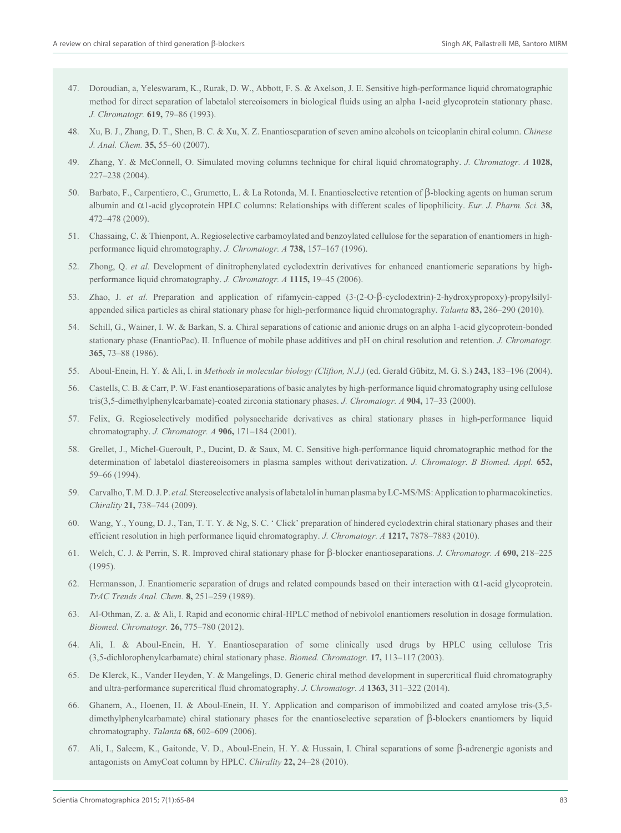- 47. Doroudian, a, Yeleswaram, K., Rurak, D. W., Abbott, F. S. & Axelson, J. E. Sensitive high-performance liquid chromatographic method for direct separation of labetalol stereoisomers in biological fluids using an alpha 1-acid glycoprotein stationary phase. *J. Chromatogr.* **619,** 79–86 (1993).
- 48. Xu, B. J., Zhang, D. T., Shen, B. C. & Xu, X. Z. Enantioseparation of seven amino alcohols on teicoplanin chiral column. *Chinese J. Anal. Chem.* **35,** 55–60 (2007).
- 49. Zhang, Y. & McConnell, O. Simulated moving columns technique for chiral liquid chromatography. *J. Chromatogr. A* **1028,** 227–238 (2004).
- 50. Barbato, F., Carpentiero, C., Grumetto, L. & La Rotonda, M. I. Enantioselective retention of β-blocking agents on human serum albumin and α1-acid glycoprotein HPLC columns: Relationships with different scales of lipophilicity. *Eur. J. Pharm. Sci.* **38,** 472–478 (2009).
- 51. Chassaing, C. & Thienpont, A. Regioselective carbamoylated and benzoylated cellulose for the separation of enantiomers in highperformance liquid chromatography. *J. Chromatogr. A* **738,** 157–167 (1996).
- 52. Zhong, Q. *et al.* Development of dinitrophenylated cyclodextrin derivatives for enhanced enantiomeric separations by highperformance liquid chromatography. *J. Chromatogr. A* **1115,** 19–45 (2006).
- 53. Zhao, J. *et al.* Preparation and application of rifamycin-capped (3-(2-O-β-cyclodextrin)-2-hydroxypropoxy)-propylsilylappended silica particles as chiral stationary phase for high-performance liquid chromatography. *Talanta* **83,** 286–290 (2010).
- 54. Schill, G., Wainer, I. W. & Barkan, S. a. Chiral separations of cationic and anionic drugs on an alpha 1-acid glycoprotein-bonded stationary phase (EnantioPac). II. Influence of mobile phase additives and pH on chiral resolution and retention. *J. Chromatogr.* **365,** 73–88 (1986).
- 55. Aboul-Enein, H. Y. & Ali, I. in *Methods in molecular biology (Clifton, N.J.)* (ed. Gerald Gübitz, M. G. S.) **243,** 183–196 (2004).
- 56. Castells, C. B. & Carr, P. W. Fast enantioseparations of basic analytes by high-performance liquid chromatography using cellulose tris(3,5-dimethylphenylcarbamate)-coated zirconia stationary phases. *J. Chromatogr. A* **904,** 17–33 (2000).
- 57. Felix, G. Regioselectively modified polysaccharide derivatives as chiral stationary phases in high-performance liquid chromatography. *J. Chromatogr. A* **906,** 171–184 (2001).
- 58. Grellet, J., Michel-Gueroult, P., Ducint, D. & Saux, M. C. Sensitive high-performance liquid chromatographic method for the determination of labetalol diastereoisomers in plasma samples without derivatization. *J. Chromatogr. B Biomed. Appl.* **652,** 59–66 (1994).
- 59. Carvalho, T. M. D. J. P. *et al.* Stereoselective analysis of labetalol in human plasma by LC-MS/MS: Application to pharmacokinetics. *Chirality* **21,** 738–744 (2009).
- 60. Wang, Y., Young, D. J., Tan, T. T. Y. & Ng, S. C. ' Click' preparation of hindered cyclodextrin chiral stationary phases and their efficient resolution in high performance liquid chromatography. *J. Chromatogr. A* **1217,** 7878–7883 (2010).
- 61. Welch, C. J. & Perrin, S. R. Improved chiral stationary phase for β-blocker enantioseparations. *J. Chromatogr. A* **690,** 218–225 (1995).
- 62. Hermansson, J. Enantiomeric separation of drugs and related compounds based on their interaction with α1-acid glycoprotein. *TrAC Trends Anal. Chem.* **8,** 251–259 (1989).
- 63. Al-Othman, Z. a. & Ali, I. Rapid and economic chiral-HPLC method of nebivolol enantiomers resolution in dosage formulation. *Biomed. Chromatogr.* **26,** 775–780 (2012).
- 64. Ali, I. & Aboul-Enein, H. Y. Enantioseparation of some clinically used drugs by HPLC using cellulose Tris (3,5-dichlorophenylcarbamate) chiral stationary phase. *Biomed. Chromatogr.* **17,** 113–117 (2003).
- 65. De Klerck, K., Vander Heyden, Y. & Mangelings, D. Generic chiral method development in supercritical fluid chromatography and ultra-performance supercritical fluid chromatography. *J. Chromatogr. A* **1363,** 311–322 (2014).
- 66. Ghanem, A., Hoenen, H. & Aboul-Enein, H. Y. Application and comparison of immobilized and coated amylose tris-(3,5 dimethylphenylcarbamate) chiral stationary phases for the enantioselective separation of β-blockers enantiomers by liquid chromatography. *Talanta* **68,** 602–609 (2006).
- 67. Ali, I., Saleem, K., Gaitonde, V. D., Aboul-Enein, H. Y. & Hussain, I. Chiral separations of some β-adrenergic agonists and antagonists on AmyCoat column by HPLC. *Chirality* **22,** 24–28 (2010).